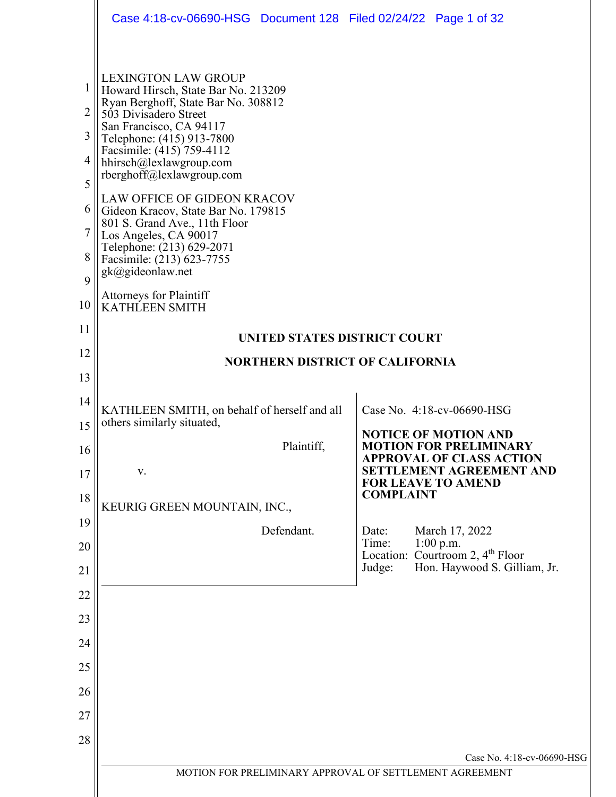|                                                                           | Case 4:18-cv-06690-HSG Document 128 Filed 02/24/22 Page 1 of 32                                                                                                                                                                                                                                                                                                                                                                                                                                                                                                |                                                                                                                |
|---------------------------------------------------------------------------|----------------------------------------------------------------------------------------------------------------------------------------------------------------------------------------------------------------------------------------------------------------------------------------------------------------------------------------------------------------------------------------------------------------------------------------------------------------------------------------------------------------------------------------------------------------|----------------------------------------------------------------------------------------------------------------|
| 1<br>$\overline{2}$<br>3<br>4<br>5<br>6<br>$\overline{7}$<br>8<br>9<br>10 | <b>LEXINGTON LAW GROUP</b><br>Howard Hirsch, State Bar No. 213209<br>Ryan Berghoff, State Bar No. 308812<br>503 Divisadero Street<br>San Francisco, CA 94117<br>Telephone: (415) 913-7800<br>Facsimile: (415) 759-4112<br>hhirsch@lexlawgroup.com<br>rberghoff@lexlawgroup.com<br><b>LAW OFFICE OF GIDEON KRACOV</b><br>Gideon Kracov, State Bar No. 179815<br>801 S. Grand Ave., 11th Floor<br>Los Angeles, CA 90017<br>Telephone: (213) 629-2071<br>Facsimile: (213) 623-7755<br>gk@gideonlaw.net<br><b>Attorneys for Plaintiff</b><br><b>KATHLEEN SMITH</b> |                                                                                                                |
| 11                                                                        |                                                                                                                                                                                                                                                                                                                                                                                                                                                                                                                                                                |                                                                                                                |
| 12                                                                        | <b>UNITED STATES DISTRICT COURT</b>                                                                                                                                                                                                                                                                                                                                                                                                                                                                                                                            |                                                                                                                |
| 13                                                                        | <b>NORTHERN DISTRICT OF CALIFORNIA</b>                                                                                                                                                                                                                                                                                                                                                                                                                                                                                                                         |                                                                                                                |
| 14                                                                        | KATHLEEN SMITH, on behalf of herself and all                                                                                                                                                                                                                                                                                                                                                                                                                                                                                                                   | Case No. 4:18-cv-06690-HSG                                                                                     |
| 15                                                                        | others similarly situated,                                                                                                                                                                                                                                                                                                                                                                                                                                                                                                                                     | <b>NOTICE OF MOTION AND</b>                                                                                    |
| 16                                                                        | Plaintiff,                                                                                                                                                                                                                                                                                                                                                                                                                                                                                                                                                     | <b>MOTION FOR PRELIMINARY</b><br><b>APPROVAL OF CLASS ACTION</b>                                               |
| 17                                                                        | V.                                                                                                                                                                                                                                                                                                                                                                                                                                                                                                                                                             | <b>SETTLEMENT AGREEMENT AND</b><br>FOR LEAVE TO AMEND                                                          |
| 18                                                                        | KEURIG GREEN MOUNTAIN, INC.,                                                                                                                                                                                                                                                                                                                                                                                                                                                                                                                                   | <b>COMPLAINT</b>                                                                                               |
| 19                                                                        | Defendant.                                                                                                                                                                                                                                                                                                                                                                                                                                                                                                                                                     | Date:<br>March 17, 2022                                                                                        |
| 20                                                                        |                                                                                                                                                                                                                                                                                                                                                                                                                                                                                                                                                                | Time:<br>$1:00$ p.m.<br>Location: Courtroom 2, 4 <sup>th</sup> Floor<br>Hon. Haywood S. Gilliam, Jr.<br>Judge: |
| 21                                                                        |                                                                                                                                                                                                                                                                                                                                                                                                                                                                                                                                                                |                                                                                                                |
| 22<br>23                                                                  |                                                                                                                                                                                                                                                                                                                                                                                                                                                                                                                                                                |                                                                                                                |
| 24                                                                        |                                                                                                                                                                                                                                                                                                                                                                                                                                                                                                                                                                |                                                                                                                |
| 25                                                                        |                                                                                                                                                                                                                                                                                                                                                                                                                                                                                                                                                                |                                                                                                                |
| 26                                                                        |                                                                                                                                                                                                                                                                                                                                                                                                                                                                                                                                                                |                                                                                                                |
| 27                                                                        |                                                                                                                                                                                                                                                                                                                                                                                                                                                                                                                                                                |                                                                                                                |
| 28                                                                        |                                                                                                                                                                                                                                                                                                                                                                                                                                                                                                                                                                |                                                                                                                |
|                                                                           |                                                                                                                                                                                                                                                                                                                                                                                                                                                                                                                                                                | Case No. 4:18-cv-06690-HSG                                                                                     |
|                                                                           | MOTION FOR PRELIMINARY APPROVAL OF SETTLEMENT AGREEMENT                                                                                                                                                                                                                                                                                                                                                                                                                                                                                                        |                                                                                                                |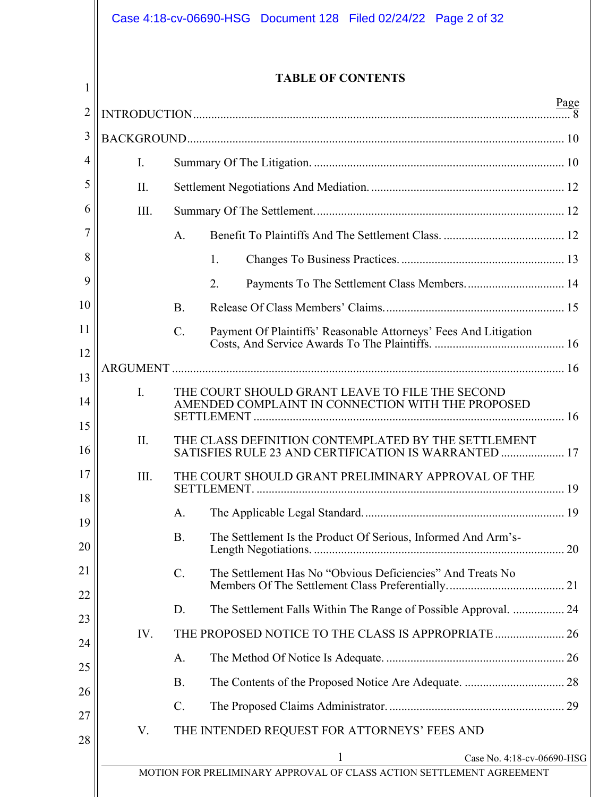|                | <b>TABLE OF CONTENTS</b>                                                                                    |             |
|----------------|-------------------------------------------------------------------------------------------------------------|-------------|
|                |                                                                                                             | <u>Page</u> |
|                |                                                                                                             |             |
| $\mathbf{I}$ . |                                                                                                             |             |
| $\prod$        |                                                                                                             |             |
| Ш.             |                                                                                                             |             |
|                | $\mathbf{A}$ .                                                                                              |             |
|                | 1.                                                                                                          |             |
|                | Payments To The Settlement Class Members 14<br>2.                                                           |             |
|                | <b>B.</b>                                                                                                   |             |
|                | $C_{\cdot}$<br>Payment Of Plaintiffs' Reasonable Attorneys' Fees And Litigation                             |             |
|                |                                                                                                             |             |
| $\mathbf{I}$ . | THE COURT SHOULD GRANT LEAVE TO FILE THE SECOND<br>AMENDED COMPLAINT IN CONNECTION WITH THE PROPOSED        |             |
| II.            | THE CLASS DEFINITION CONTEMPLATED BY THE SETTLEMENT<br>SATISFIES RULE 23 AND CERTIFICATION IS WARRANTED  17 |             |
| III.           | THE COURT SHOULD GRANT PRELIMINARY APPROVAL OF THE                                                          |             |
|                | A.                                                                                                          |             |
|                | <b>B.</b><br>The Settlement Is the Product Of Serious, Informed And Arm's-                                  |             |
|                | $C_{\cdot}$<br>The Settlement Has No "Obvious Deficiencies" And Treats No                                   |             |
|                | D.                                                                                                          |             |
| IV.            |                                                                                                             |             |
|                | A.                                                                                                          |             |
|                | <b>B.</b>                                                                                                   |             |
|                | $C_{\cdot}$<br>THE INTENDED REQUEST FOR ATTORNEYS' FEES AND                                                 |             |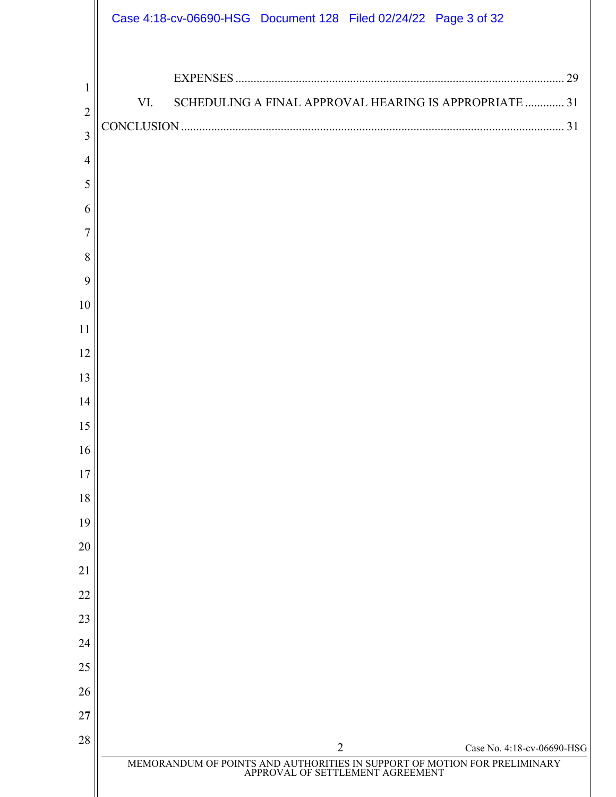|                                       | Case 4:18-cv-06690-HSG Document 128 Filed 02/24/22 Page 3 of 32                                            |
|---------------------------------------|------------------------------------------------------------------------------------------------------------|
| 1<br>$\overline{2}$<br>$\overline{3}$ | SCHEDULING A FINAL APPROVAL HEARING IS APPROPRIATE  31<br>VI.                                              |
| $\overline{4}$                        |                                                                                                            |
| 5                                     |                                                                                                            |
| 6                                     |                                                                                                            |
| 7                                     |                                                                                                            |
| 8                                     |                                                                                                            |
| 9                                     |                                                                                                            |
| 10                                    |                                                                                                            |
| 11                                    |                                                                                                            |
| 12                                    |                                                                                                            |
| 13                                    |                                                                                                            |
| 14                                    |                                                                                                            |
| 15                                    |                                                                                                            |
| 16                                    |                                                                                                            |
| 17                                    |                                                                                                            |
| 18                                    |                                                                                                            |
| 19                                    |                                                                                                            |
| 20                                    |                                                                                                            |
| 21<br>22                              |                                                                                                            |
| 23                                    |                                                                                                            |
| 24                                    |                                                                                                            |
| 25                                    |                                                                                                            |
| 26                                    |                                                                                                            |
| 27                                    |                                                                                                            |
| 28                                    | $\overline{2}$<br>Case No. 4:18-cv-06690-HSG                                                               |
|                                       | MEMORANDUM OF POINTS AND AUTHORITIES IN SUPPORT OF MOTION FOR PRELIMINARY APPROVAL OF SETTLEMENT AGREEMENT |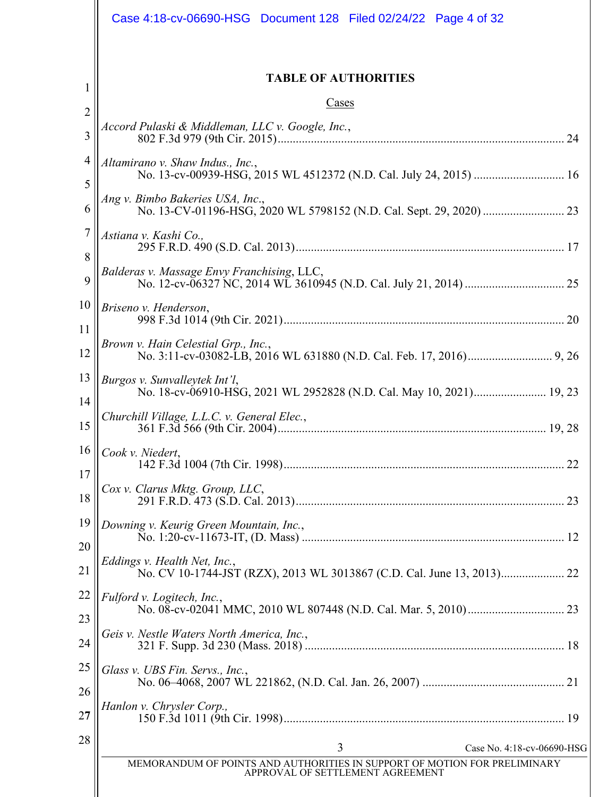|                     | Case 4:18-cv-06690-HSG Document 128 Filed 02/24/22 Page 4 of 32                                               |
|---------------------|---------------------------------------------------------------------------------------------------------------|
| 1                   | <b>TABLE OF AUTHORITIES</b>                                                                                   |
| $\overline{2}$      | Cases                                                                                                         |
| $\overline{3}$      | Accord Pulaski & Middleman, LLC v. Google, Inc.,                                                              |
| $\overline{4}$<br>5 | Altamirano v. Shaw Indus., Inc.,                                                                              |
| 6                   | Ang v. Bimbo Bakeries USA, Inc.,                                                                              |
| $\overline{7}$<br>8 | Astiana v. Kashi Co.,                                                                                         |
| 9                   | Balderas v. Massage Envy Franchising, LLC,                                                                    |
| 10                  | Briseno v. Henderson,                                                                                         |
| 11<br>12            | Brown v. Hain Celestial Grp., Inc.,                                                                           |
| 13                  | Burgos v. Sunvalleytek Int'l,<br>No. 18-cv-06910-HSG, 2021 WL 2952828 (N.D. Cal. May 10, 2021) 19, 23         |
| 14<br>15            | Churchill Village, L.L.C. v. General Elec.,                                                                   |
| 16                  | Cook v. Niedert,                                                                                              |
| 17<br>18            | Cox v. Clarus Mktg. Group, LLC,                                                                               |
| 19                  | Downing v. Keurig Green Mountain, Inc.,                                                                       |
| 20<br>21            | Eddings v. Health Net, Inc.,                                                                                  |
| 22                  | Fulford v. Logitech, Inc.,                                                                                    |
| 23<br>24            | Geis v. Nestle Waters North America, Inc.,                                                                    |
| 25<br>26            | Glass v. UBS Fin. Servs., Inc.,                                                                               |
| 27                  | Hanlon v. Chrysler Corp.,                                                                                     |
| 28                  | 3<br>Case No. 4:18-cv-06690-HSG                                                                               |
|                     | MEMORANDUM OF POINTS AND AUTHORITIES IN SUPPORT OF MOTION FOR PRELIMINARY<br>APPROVAL OF SETTLEMENT AGREEMENT |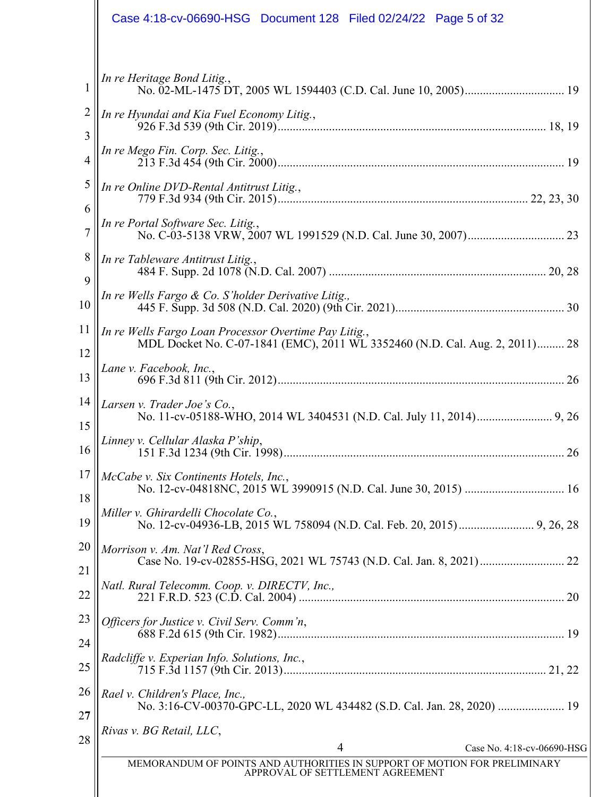|                     | Case 4:18-cv-06690-HSG  Document 128  Filed 02/24/22  Page 5 of 32                                                                               |
|---------------------|--------------------------------------------------------------------------------------------------------------------------------------------------|
| 1<br>$\overline{2}$ | In re Heritage Bond Litig.,<br>In re Hyundai and Kia Fuel Economy Litig.,                                                                        |
| 3                   | In re Mego Fin. Corp. Sec. Litig.,                                                                                                               |
| 4<br>5              | In re Online DVD-Rental Antitrust Litig.,                                                                                                        |
| 6<br>$\overline{7}$ | In re Portal Software Sec. Litig.,                                                                                                               |
| 8<br>9              | In re Tableware Antitrust Litig.,                                                                                                                |
| 10                  | In re Wells Fargo & Co. S'holder Derivative Litig.,                                                                                              |
| 11<br>12            | In re Wells Fargo Loan Processor Overtime Pay Litig.,<br>MDL Docket No. C-07-1841 (EMC), 2011 WL 3352460 (N.D. Cal. Aug. 2, 2011) 28             |
| 13<br>14            | Lane v. Facebook, Inc.,<br>Larsen v. Trader Joe's Co.,                                                                                           |
| 15<br>16            | Linney v. Cellular Alaska P'ship,                                                                                                                |
| 17                  | McCabe v. Six Continents Hotels, Inc.,                                                                                                           |
| 18<br>19            | Miller v. Ghirardelli Chocolate Co.,                                                                                                             |
| 20<br>21            | Morrison v. Am. Nat'l Red Cross,                                                                                                                 |
| 22                  | Natl. Rural Telecomm. Coop. v. DIRECTV, Inc.,                                                                                                    |
| 23<br>24            | Officers for Justice v. Civil Serv. Comm'n,<br>Radcliffe v. Experian Info. Solutions, Inc.,                                                      |
| 25<br>26            | Rael v. Children's Place, Inc.,                                                                                                                  |
| 27<br>28            | Rivas v. BG Retail, LLC,                                                                                                                         |
|                     | 4<br>Case No. 4:18-cv-06690-HSG<br>MEMORANDUM OF POINTS AND AUTHORITIES IN SUPPORT OF MOTION FOR PRELIMINARY<br>APPROVAL OF SETTLEMENT AGREEMENT |
|                     |                                                                                                                                                  |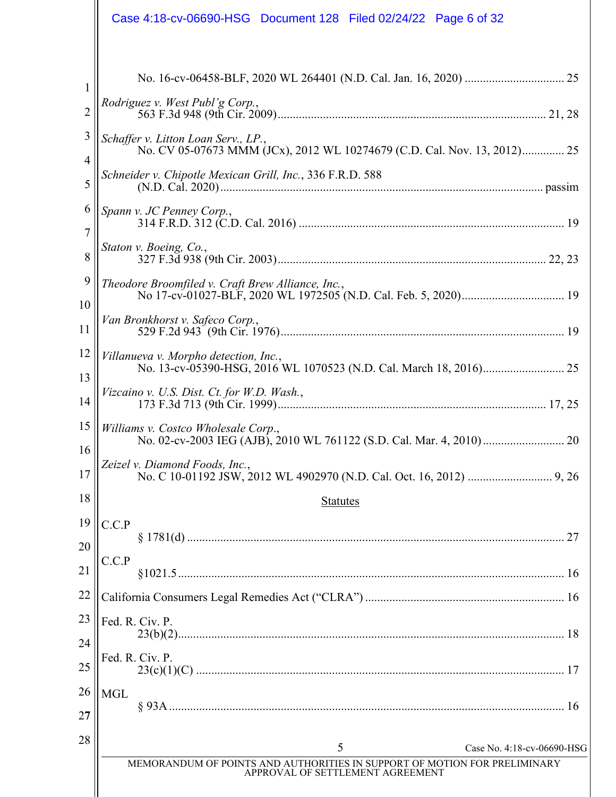|                       | Case 4:18-cv-06690-HSG Document 128 Filed 02/24/22 Page 6 of 32                                                 |  |
|-----------------------|-----------------------------------------------------------------------------------------------------------------|--|
| $\mathbf{1}$          | Rodriguez v. West Publ'g Corp.,                                                                                 |  |
| $\overline{2}$        |                                                                                                                 |  |
| 3<br>4                | Schaffer v. Litton Loan Serv., LP.,<br>No. CV 05-07673 MMM (JCx), 2012 WL 10274679 (C.D. Cal. Nov. 13, 2012) 25 |  |
| 5                     | Schneider v. Chipotle Mexican Grill, Inc., 336 F.R.D. 588                                                       |  |
| 6<br>$\overline{7}$   | Spann v. JC Penney Corp.,                                                                                       |  |
| 8                     | Staton v. Boeing, Co.,                                                                                          |  |
| 9<br>10               | Theodore Broomfiled v. Craft Brew Alliance, Inc.,                                                               |  |
| 11                    | Van Bronkhorst v. Safeco Corp.,                                                                                 |  |
| 12                    | Villanueva v. Morpho detection, Inc.,                                                                           |  |
| 13<br>14              | Vizcaino v. U.S. Dist. Ct. for W.D. Wash.,                                                                      |  |
| 15                    | Williams v. Costco Wholesale Corp.,                                                                             |  |
| 16 <sup>1</sup><br>17 | Zeizel v. Diamond Foods, Inc.,                                                                                  |  |
| 18                    | <b>Statutes</b>                                                                                                 |  |
| 19                    | C.C.P                                                                                                           |  |
| 20                    | C.C.P                                                                                                           |  |
| 21                    |                                                                                                                 |  |
| 22                    |                                                                                                                 |  |
| 23                    | Fed. R. Civ. P.                                                                                                 |  |
| 24                    | Fed. R. Civ. P.                                                                                                 |  |
| 25                    |                                                                                                                 |  |
| 26<br>27              | <b>MGL</b>                                                                                                      |  |
| 28                    |                                                                                                                 |  |
|                       | 5<br>Case No. 4:18-cv-06690-HSG<br>MEMORANDUM OF POINTS AND AUTHORITIES IN SUPPORT OF MOTION FOR PRELIMINARY    |  |
|                       | APPROVAL OF SETTLEMENT AGREEMENT                                                                                |  |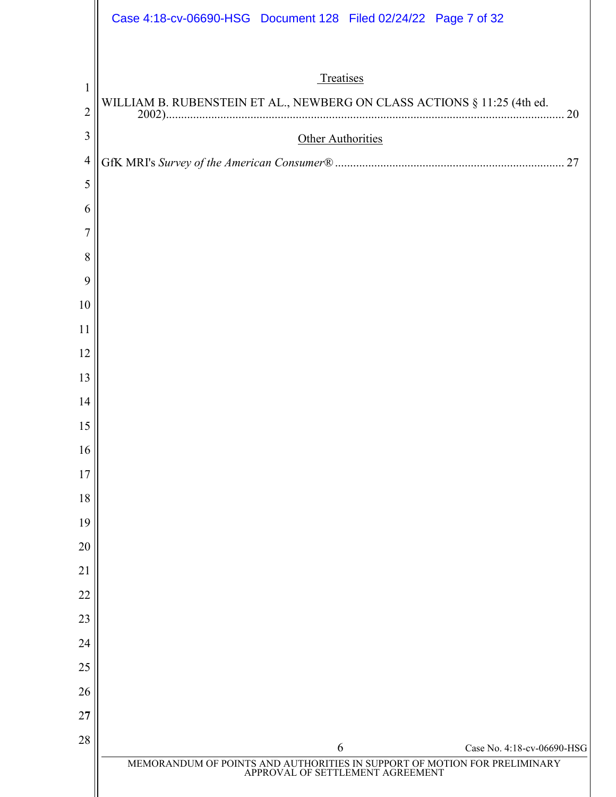|                                | Case 4:18-cv-06690-HSG Document 128 Filed 02/24/22 Page 7 of 32                                                                               |
|--------------------------------|-----------------------------------------------------------------------------------------------------------------------------------------------|
| $\mathbf{1}$<br>$\overline{2}$ | Treatises<br>WILLIAM B. RUBENSTEIN ET AL., NEWBERG ON CLASS ACTIONS § 11:25 (4th ed.<br>20                                                    |
| 3                              | Other Authorities                                                                                                                             |
| $\overline{4}$                 |                                                                                                                                               |
| 5                              |                                                                                                                                               |
| 6                              |                                                                                                                                               |
| 7                              |                                                                                                                                               |
| 8                              |                                                                                                                                               |
| 9                              |                                                                                                                                               |
| 10                             |                                                                                                                                               |
| 11                             |                                                                                                                                               |
| 12                             |                                                                                                                                               |
| 13                             |                                                                                                                                               |
| 14                             |                                                                                                                                               |
| 15                             |                                                                                                                                               |
| 16                             |                                                                                                                                               |
| 17                             |                                                                                                                                               |
| 18                             |                                                                                                                                               |
| 19                             |                                                                                                                                               |
| 20                             |                                                                                                                                               |
| 21                             |                                                                                                                                               |
| 22                             |                                                                                                                                               |
| 23<br>24                       |                                                                                                                                               |
| 25                             |                                                                                                                                               |
| 26                             |                                                                                                                                               |
| 27                             |                                                                                                                                               |
| 28                             |                                                                                                                                               |
|                                | 6<br>Case No. 4:18-cv-06690-HSG<br>MEMORANDUM OF POINTS AND AUTHORITIES IN SUPPORT OF MOTION FOR PRELIMINARY APPROVAL OF SETTLEMENT AGREEMENT |
|                                |                                                                                                                                               |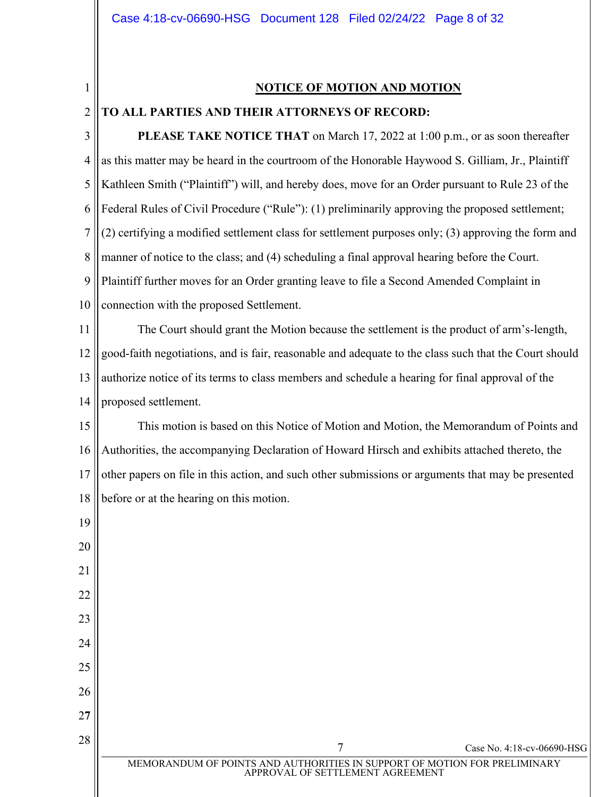1

2

#### **NOTICE OF MOTION AND MOTION**

# **TO ALL PARTIES AND THEIR ATTORNEYS OF RECORD:**

3 4 5 6 7 8 9 10 **PLEASE TAKE NOTICE THAT** on March 17, 2022 at 1:00 p.m., or as soon thereafter as this matter may be heard in the courtroom of the Honorable Haywood S. Gilliam, Jr., Plaintiff Kathleen Smith ("Plaintiff") will, and hereby does, move for an Order pursuant to Rule 23 of the Federal Rules of Civil Procedure ("Rule"): (1) preliminarily approving the proposed settlement; (2) certifying a modified settlement class for settlement purposes only; (3) approving the form and manner of notice to the class; and (4) scheduling a final approval hearing before the Court. Plaintiff further moves for an Order granting leave to file a Second Amended Complaint in connection with the proposed Settlement.

11 12 13 14 The Court should grant the Motion because the settlement is the product of arm's-length, good-faith negotiations, and is fair, reasonable and adequate to the class such that the Court should authorize notice of its terms to class members and schedule a hearing for final approval of the proposed settlement.

15 16 17 18 This motion is based on this Notice of Motion and Motion, the Memorandum of Points and Authorities, the accompanying Declaration of Howard Hirsch and exhibits attached thereto, the other papers on file in this action, and such other submissions or arguments that may be presented before or at the hearing on this motion.

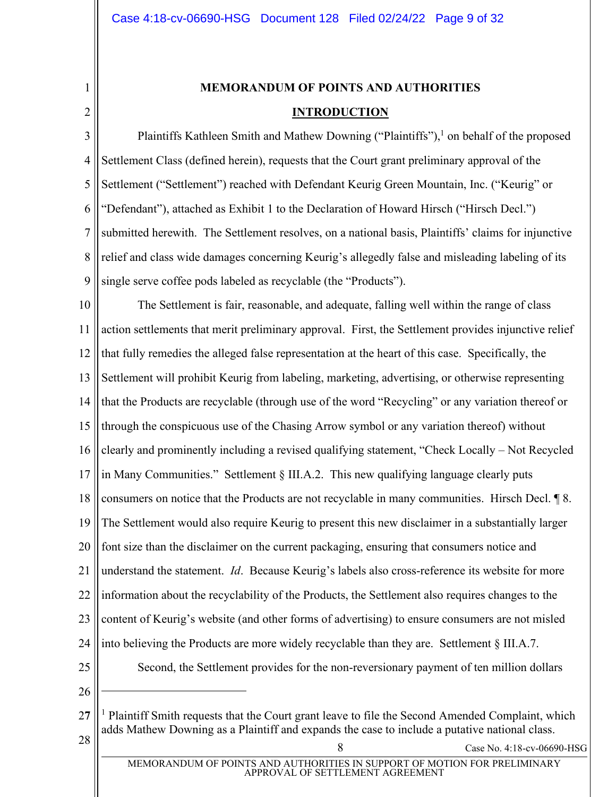<span id="page-8-0"></span>1 2

# **MEMORANDUM OF POINTS AND AUTHORITIES INTRODUCTION**

3 4 5 6 7 8 9 Plaintiffs Kathleen Smith and Mathew Downing ("Plaintiffs"), $<sup>1</sup>$  on behalf of the proposed</sup> Settlement Class (defined herein), requests that the Court grant preliminary approval of the Settlement ("Settlement") reached with Defendant Keurig Green Mountain, Inc. ("Keurig" or "Defendant"), attached as Exhibit 1 to the Declaration of Howard Hirsch ("Hirsch Decl.") submitted herewith. The Settlement resolves, on a national basis, Plaintiffs' claims for injunctive relief and class wide damages concerning Keurig's allegedly false and misleading labeling of its single serve coffee pods labeled as recyclable (the "Products").

10 11 12 13 14 15 16 17 18 19 20 21 22 23 24 25 26 The Settlement is fair, reasonable, and adequate, falling well within the range of class action settlements that merit preliminary approval. First, the Settlement provides injunctive relief that fully remedies the alleged false representation at the heart of this case. Specifically, the Settlement will prohibit Keurig from labeling, marketing, advertising, or otherwise representing that the Products are recyclable (through use of the word "Recycling" or any variation thereof or through the conspicuous use of the Chasing Arrow symbol or any variation thereof) without clearly and prominently including a revised qualifying statement, "Check Locally – Not Recycled in Many Communities." Settlement  $\S$  III.A.2. This new qualifying language clearly puts consumers on notice that the Products are not recyclable in many communities. Hirsch Decl. ¶ 8. The Settlement would also require Keurig to present this new disclaimer in a substantially larger font size than the disclaimer on the current packaging, ensuring that consumers notice and understand the statement. *Id*. Because Keurig's labels also cross-reference its website for more information about the recyclability of the Products, the Settlement also requires changes to the content of Keurig's website (and other forms of advertising) to ensure consumers are not misled into believing the Products are more widely recyclable than they are. Settlement § III.A.7. Second, the Settlement provides for the non-reversionary payment of ten million dollars

2**7**  $28 \parallel$  28 Case No. 4:18-cv-06690-HSG  $<sup>1</sup>$  Plaintiff Smith requests that the Court grant leave to file the Second Amended Complaint, which</sup> adds Mathew Downing as a Plaintiff and expands the case to include a putative national class.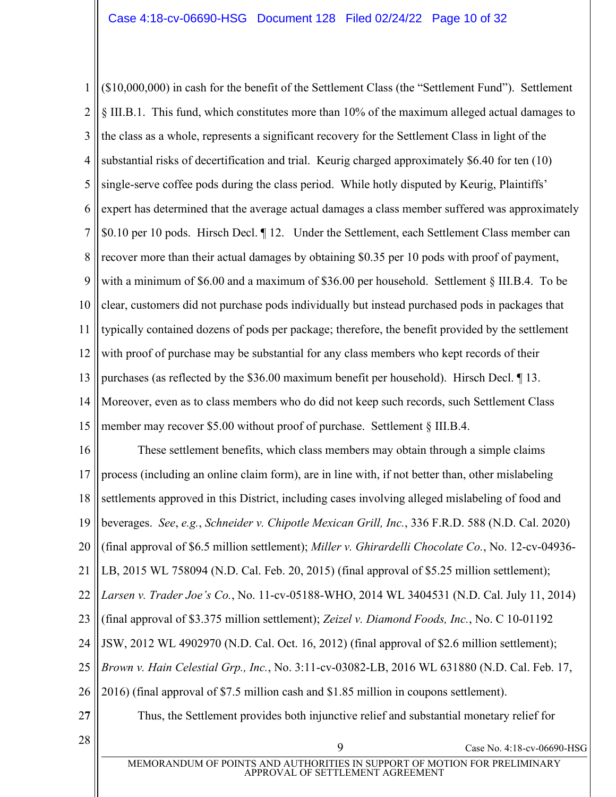1 2 3 4 5 6 7 8 9 10 11 12 13 14 15  $(10,000,000)$  in cash for the benefit of the Settlement Class (the "Settlement Fund"). Settlement § III.B.1. This fund, which constitutes more than 10% of the maximum alleged actual damages to the class as a whole, represents a significant recovery for the Settlement Class in light of the substantial risks of decertification and trial. Keurig charged approximately \$6.40 for ten (10) single-serve coffee pods during the class period. While hotly disputed by Keurig, Plaintiffs' expert has determined that the average actual damages a class member suffered was approximately \$0.10 per 10 pods. Hirsch Decl. ¶ 12. Under the Settlement, each Settlement Class member can recover more than their actual damages by obtaining \$0.35 per 10 pods with proof of payment, with a minimum of \$6.00 and a maximum of \$36.00 per household. Settlement § III.B.4. To be clear, customers did not purchase pods individually but instead purchased pods in packages that typically contained dozens of pods per package; therefore, the benefit provided by the settlement with proof of purchase may be substantial for any class members who kept records of their purchases (as reflected by the \$36.00 maximum benefit per household). Hirsch Decl. ¶ 13. Moreover, even as to class members who do did not keep such records, such Settlement Class member may recover \$5.00 without proof of purchase. Settlement § III.B.4.

16 17 18 19 20 21 22 23 24 25 26 2**7**  $\begin{array}{c|c} 28 & 9 \end{array}$  Case No. 4:18-cv-06690-HSG These settlement benefits, which class members may obtain through a simple claims process (including an online claim form), are in line with, if not better than, other mislabeling settlements approved in this District, including cases involving alleged mislabeling of food and beverages. *See*, *e.g.*, *Schneider v. Chipotle Mexican Grill, Inc.*, 336 F.R.D. 588 (N.D. Cal. 2020) (final approval of \$6.5 million settlement); *Miller v. Ghirardelli Chocolate Co.*, No. 12-cv-04936- LB, 2015 WL 758094 (N.D. Cal. Feb. 20, 2015) (final approval of \$5.25 million settlement); *Larsen v. Trader Joe's Co.*, No. 11-cv-05188-WHO, 2014 WL 3404531 (N.D. Cal. July 11, 2014) (final approval of \$3.375 million settlement); *Zeizel v. Diamond Foods, Inc.*, No. C 10-01192 JSW, 2012 WL 4902970 (N.D. Cal. Oct. 16, 2012) (final approval of \$2.6 million settlement); *Brown v. Hain Celestial Grp., Inc.*, No. 3:11-cv-03082-LB, 2016 WL 631880 (N.D. Cal. Feb. 17, 2016) (final approval of \$7.5 million cash and \$1.85 million in coupons settlement). Thus, the Settlement provides both injunctive relief and substantial monetary relief for

MEMORANDUM OF POINTS AND AUTHORITIES IN SUPPORT OF MOTION FOR PRELIMINARY APPROVAL OF SETTLEMENT AGREEMENT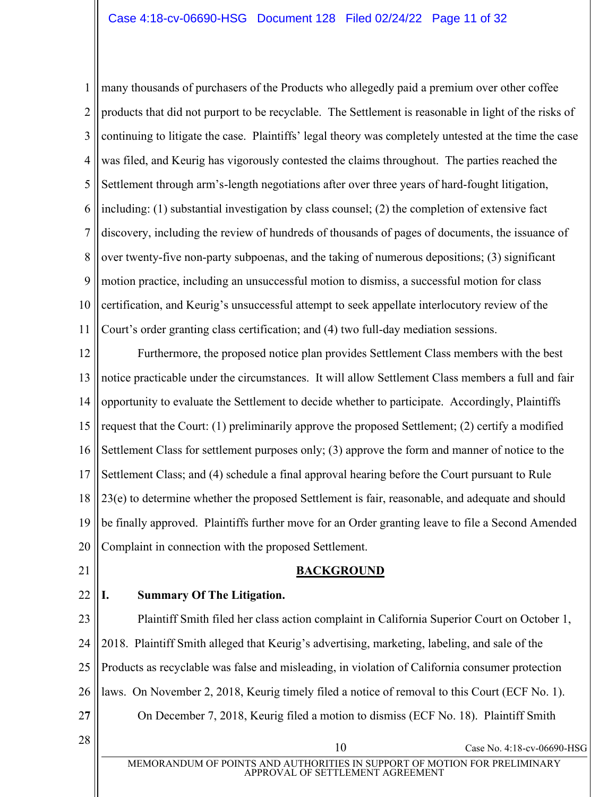1 2 3 4 5 6 7 8 9 10 11 many thousands of purchasers of the Products who allegedly paid a premium over other coffee products that did not purport to be recyclable. The Settlement is reasonable in light of the risks of continuing to litigate the case. Plaintiffs' legal theory was completely untested at the time the case was filed, and Keurig has vigorously contested the claims throughout. The parties reached the Settlement through arm's-length negotiations after over three years of hard-fought litigation, including: (1) substantial investigation by class counsel; (2) the completion of extensive fact discovery, including the review of hundreds of thousands of pages of documents, the issuance of over twenty-five non-party subpoenas, and the taking of numerous depositions; (3) significant motion practice, including an unsuccessful motion to dismiss, a successful motion for class certification, and Keurig's unsuccessful attempt to seek appellate interlocutory review of the Court's order granting class certification; and (4) two full-day mediation sessions.

12 13 14 15 16 17 18 19 20 Furthermore, the proposed notice plan provides Settlement Class members with the best notice practicable under the circumstances. It will allow Settlement Class members a full and fair opportunity to evaluate the Settlement to decide whether to participate. Accordingly, Plaintiffs request that the Court: (1) preliminarily approve the proposed Settlement; (2) certify a modified Settlement Class for settlement purposes only; (3) approve the form and manner of notice to the Settlement Class; and (4) schedule a final approval hearing before the Court pursuant to Rule 23(e) to determine whether the proposed Settlement is fair, reasonable, and adequate and should be finally approved. Plaintiffs further move for an Order granting leave to file a Second Amended Complaint in connection with the proposed Settlement.

<span id="page-10-0"></span>21

22

# **BACKGROUND**

# <span id="page-10-1"></span>**I. Summary Of The Litigation.**

23 24 25 26 2**7** Plaintiff Smith filed her class action complaint in California Superior Court on October 1, 2018. Plaintiff Smith alleged that Keurig's advertising, marketing, labeling, and sale of the Products as recyclable was false and misleading, in violation of California consumer protection laws. On November 2, 2018, Keurig timely filed a notice of removal to this Court (ECF No. 1). On December 7, 2018, Keurig filed a motion to dismiss (ECF No. 18). Plaintiff Smith

 $28 \parallel$   $28 \parallel$  Case No. 4:18-cv-06690-HSG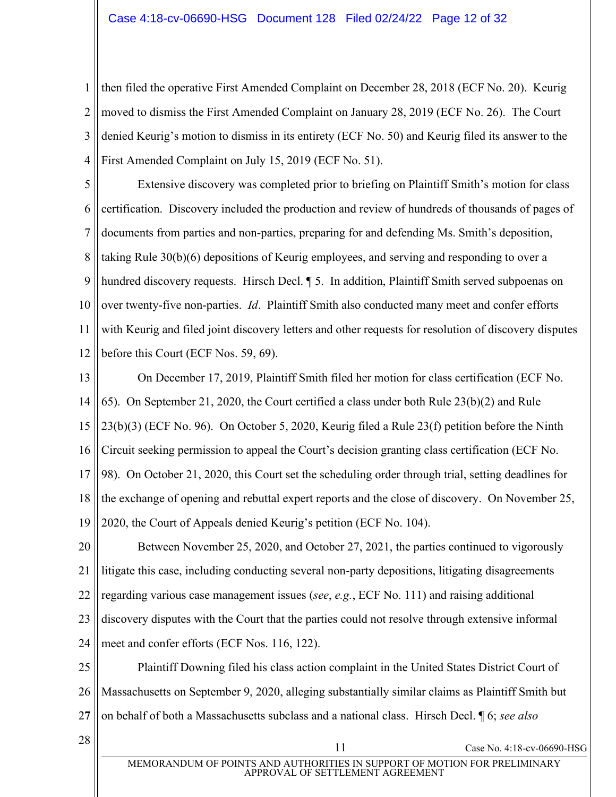1 2 3 4 then filed the operative First Amended Complaint on December 28, 2018 (ECF No. 20). Keurig moved to dismiss the First Amended Complaint on January 28, 2019 (ECF No. 26). The Court denied Keurig's motion to dismiss in its entirety (ECF No. 50) and Keurig filed its answer to the First Amended Complaint on July 15, 2019 (ECF No. 51).

5 6 7 8 9 10 11 12 Extensive discovery was completed prior to briefing on Plaintiff Smith's motion for class certification. Discovery included the production and review of hundreds of thousands of pages of documents from parties and non-parties, preparing for and defending Ms. Smith's deposition, taking Rule 30(b)(6) depositions of Keurig employees, and serving and responding to over a hundred discovery requests. Hirsch Decl.  $\parallel$  5. In addition, Plaintiff Smith served subpoenas on over twenty-five non-parties. *Id*. Plaintiff Smith also conducted many meet and confer efforts with Keurig and filed joint discovery letters and other requests for resolution of discovery disputes before this Court (ECF Nos. 59, 69).

13 14 15 16 17 18 19 On December 17, 2019, Plaintiff Smith filed her motion for class certification (ECF No. 65). On September 21, 2020, the Court certified a class under both Rule 23(b)(2) and Rule 23(b)(3) (ECF No. 96). On October 5, 2020, Keurig filed a Rule 23(f) petition before the Ninth Circuit seeking permission to appeal the Court's decision granting class certification (ECF No. 98). On October 21, 2020, this Court set the scheduling order through trial, setting deadlines for the exchange of opening and rebuttal expert reports and the close of discovery. On November 25, 2020, the Court of Appeals denied Keurig's petition (ECF No. 104).

20 21 22 23 24 Between November 25, 2020, and October 27, 2021, the parties continued to vigorously litigate this case, including conducting several non-party depositions, litigating disagreements regarding various case management issues (*see*, *e.g.*, ECF No. 111) and raising additional discovery disputes with the Court that the parties could not resolve through extensive informal meet and confer efforts (ECF Nos. 116, 122).

25 26 2**7** Plaintiff Downing filed his class action complaint in the United States District Court of Massachusetts on September 9, 2020, alleging substantially similar claims as Plaintiff Smith but on behalf of both a Massachusetts subclass and a national class. Hirsch Decl. ¶ 6; *see also*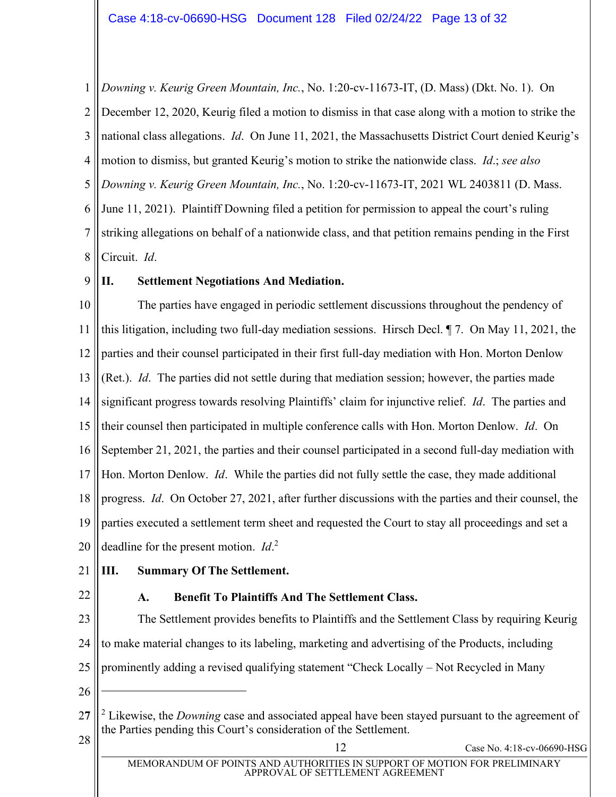1 2 3 4 5 6 7 8 *Downing v. Keurig Green Mountain, Inc.*, No. 1:20-cv-11673-IT, (D. Mass) (Dkt. No. 1). On December 12, 2020, Keurig filed a motion to dismiss in that case along with a motion to strike the national class allegations. *Id*. On June 11, 2021, the Massachusetts District Court denied Keurig's motion to dismiss, but granted Keurig's motion to strike the nationwide class. *Id.*; *see also Downing v. Keurig Green Mountain, Inc.*, No. 1:20-cv-11673-IT, 2021 WL 2403811 (D. Mass. June 11, 2021). Plaintiff Downing filed a petition for permission to appeal the court's ruling striking allegations on behalf of a nationwide class, and that petition remains pending in the First Circuit. *Id*.

9

# <span id="page-12-0"></span>**II. Settlement Negotiations And Mediation.**

10 11 12 13 14 15 16 17 18 19 20 The parties have engaged in periodic settlement discussions throughout the pendency of this litigation, including two full-day mediation sessions. Hirsch Decl. ¶ 7. On May 11, 2021, the parties and their counsel participated in their first full-day mediation with Hon. Morton Denlow (Ret.). *Id*. The parties did not settle during that mediation session; however, the parties made significant progress towards resolving Plaintiffs' claim for injunctive relief. *Id*. The parties and their counsel then participated in multiple conference calls with Hon. Morton Denlow. *Id*. On September 21, 2021, the parties and their counsel participated in a second full-day mediation with Hon. Morton Denlow. *Id*. While the parties did not fully settle the case, they made additional progress. *Id*. On October 27, 2021, after further discussions with the parties and their counsel, the parties executed a settlement term sheet and requested the Court to stay all proceedings and set a deadline for the present motion. *Id*. 2

- <span id="page-12-1"></span>21 **III. Summary Of The Settlement.**
- <span id="page-12-2"></span>22

# **A. Benefit To Plaintiffs And The Settlement Class.**

23 24 25 The Settlement provides benefits to Plaintiffs and the Settlement Class by requiring Keurig to make material changes to its labeling, marketing and advertising of the Products, including prominently adding a revised qualifying statement "Check Locally – Not Recycled in Many

26

<sup>2</sup>**7**  $28 \parallel$   $2 \parallel$  Case No. 4:18-cv-06690-HSG <sup>2</sup> Likewise, the *Downing* case and associated appeal have been stayed pursuant to the agreement of the Parties pending this Court's consideration of the Settlement.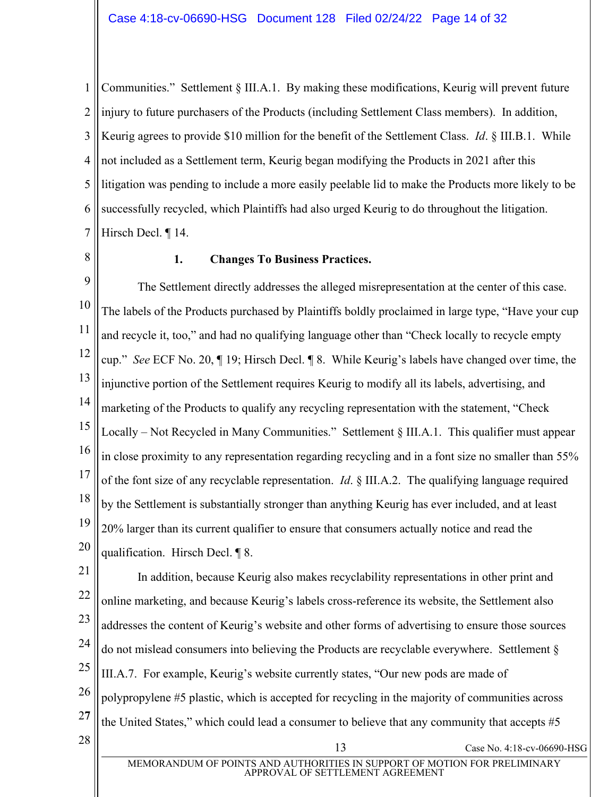1 2 3 4 5 6 7 Communities." Settlement § III.A.1. By making these modifications, Keurig will prevent future injury to future purchasers of the Products (including Settlement Class members). In addition, Keurig agrees to provide \$10 million for the benefit of the Settlement Class. *Id*. § III.B.1. While not included as a Settlement term, Keurig began modifying the Products in 2021 after this litigation was pending to include a more easily peelable lid to make the Products more likely to be successfully recycled, which Plaintiffs had also urged Keurig to do throughout the litigation. Hirsch Decl. ¶ 14.

<span id="page-13-0"></span>8

#### **1. Changes To Business Practices.**

9 10 11 12 13 14 15 16 17 18 19 20 The Settlement directly addresses the alleged misrepresentation at the center of this case. The labels of the Products purchased by Plaintiffs boldly proclaimed in large type, "Have your cup" and recycle it, too," and had no qualifying language other than "Check locally to recycle empty cup." *See* ECF No. 20, ¶ 19; Hirsch Decl. ¶ 8. While Keurig's labels have changed over time, the injunctive portion of the Settlement requires Keurig to modify all its labels, advertising, and marketing of the Products to qualify any recycling representation with the statement, "Check" Locally  $-$  Not Recycled in Many Communities.<sup>"</sup> Settlement  $\S$  III.A.1. This qualifier must appear in close proximity to any representation regarding recycling and in a font size no smaller than 55% of the font size of any recyclable representation. *Id*. § III.A.2. The qualifying language required by the Settlement is substantially stronger than anything Keurig has ever included, and at least 20% larger than its current qualifier to ensure that consumers actually notice and read the qualification. Hirsch Decl. ¶ 8.

21 22 23 24 25 26 2**7**  $28 \parallel$  Case No. 4:18-cv-06690-HSG In addition, because Keurig also makes recyclability representations in other print and online marketing, and because Keurig's labels cross-reference its website, the Settlement also addresses the content of Keurig's website and other forms of advertising to ensure those sources do not mislead consumers into believing the Products are recyclable everywhere. Settlement § III.A.7. For example, Keurig's website currently states, "Our new pods are made of polypropylene #5 plastic, which is accepted for recycling in the majority of communities across the United States," which could lead a consumer to believe that any community that accepts  $#5$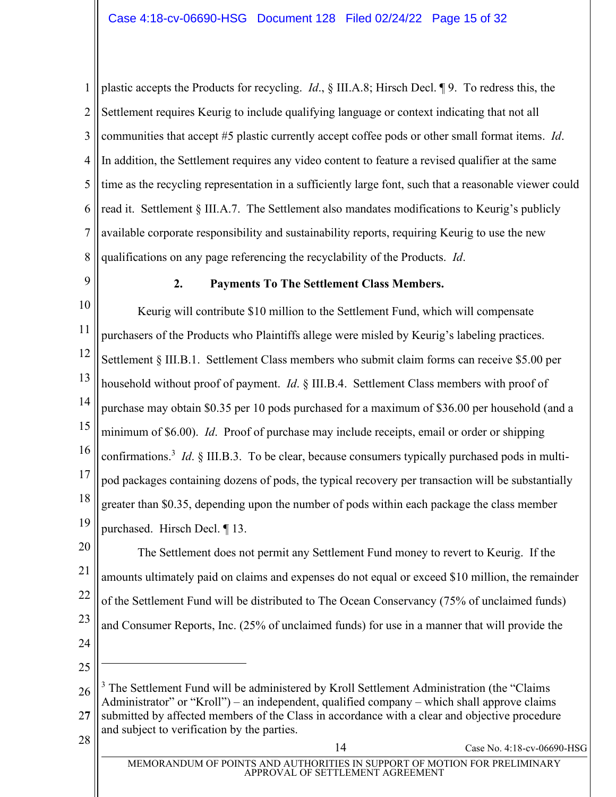1 2 3 4 5 6 7 8 plastic accepts the Products for recycling. *Id*., § III.A.8; Hirsch Decl. ¶ 9. To redress this, the Settlement requires Keurig to include qualifying language or context indicating that not all communities that accept #5 plastic currently accept coffee pods or other small format items. *Id*. In addition, the Settlement requires any video content to feature a revised qualifier at the same time as the recycling representation in a sufficiently large font, such that a reasonable viewer could read it. Settlement  $\S$  III.A.7. The Settlement also mandates modifications to Keurig's publicly available corporate responsibility and sustainability reports, requiring Keurig to use the new qualifications on any page referencing the recyclability of the Products. *Id*.

<span id="page-14-0"></span>9

# **2. Payments To The Settlement Class Members.**

10 11 12 13 14 15 16 17 18 19 Keurig will contribute \$10 million to the Settlement Fund, which will compensate purchasers of the Products who Plaintiffs allege were misled by Keurig's labeling practices. Settlement § III.B.1. Settlement Class members who submit claim forms can receive \$5.00 per household without proof of payment. *Id*. § III.B.4. Settlement Class members with proof of purchase may obtain \$0.35 per 10 pods purchased for a maximum of \$36.00 per household (and a minimum of \$6.00). *Id*. Proof of purchase may include receipts, email or order or shipping confirmations.<sup>3</sup> *Id*. § III.B.3. To be clear, because consumers typically purchased pods in multipod packages containing dozens of pods, the typical recovery per transaction will be substantially greater than \$0.35, depending upon the number of pods within each package the class member purchased. Hirsch Decl. ¶ 13.

20 21 22 23 24 The Settlement does not permit any Settlement Fund money to revert to Keurig. If the amounts ultimately paid on claims and expenses do not equal or exceed \$10 million, the remainder of the Settlement Fund will be distributed to The Ocean Conservancy (75% of unclaimed funds) and Consumer Reports, Inc. (25% of unclaimed funds) for use in a manner that will provide the

25

26 2**7**  $3$  The Settlement Fund will be administered by Kroll Settlement Administration (the "Claims" Administrator" or "Kroll") – an independent, qualified company – which shall approve claims submitted by affected members of the Class in accordance with a clear and objective procedure and subject to verification by the parties.

 $28 \parallel$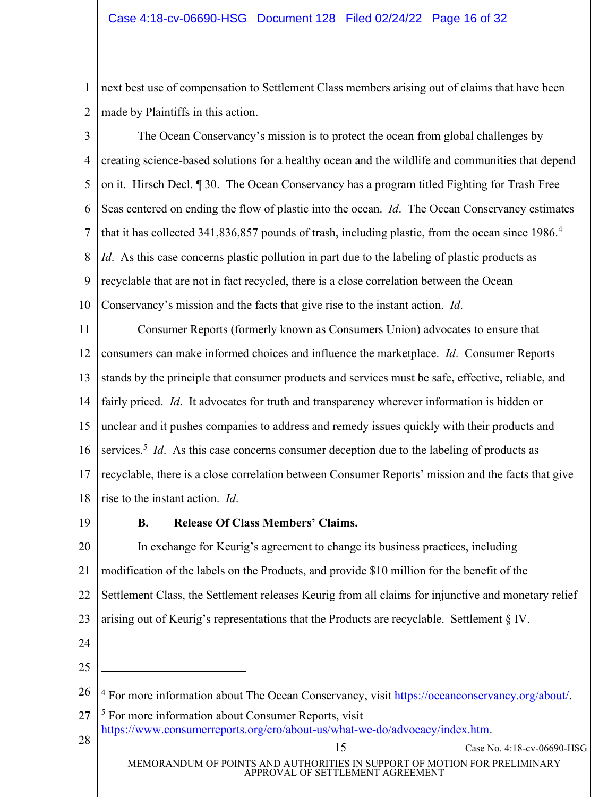1 2 next best use of compensation to Settlement Class members arising out of claims that have been made by Plaintiffs in this action.

3 4 5 6 7 8 9 10 The Ocean Conservancy's mission is to protect the ocean from global challenges by creating science-based solutions for a healthy ocean and the wildlife and communities that depend on it. Hirsch Decl. ¶ 30. The Ocean Conservancy has a program titled Fighting for Trash Free Seas centered on ending the flow of plastic into the ocean. *Id*. The Ocean Conservancy estimates that it has collected 341,836,857 pounds of trash, including plastic, from the ocean since 1986.<sup>4</sup> *Id*. As this case concerns plastic pollution in part due to the labeling of plastic products as recyclable that are not in fact recycled, there is a close correlation between the Ocean Conservancy's mission and the facts that give rise to the instant action. *Id*.

11 12 13 14 15 16 17 18 Consumer Reports (formerly known as Consumers Union) advocates to ensure that consumers can make informed choices and influence the marketplace. *Id*. Consumer Reports stands by the principle that consumer products and services must be safe, effective, reliable, and fairly priced. *Id*. It advocates for truth and transparency wherever information is hidden or unclear and it pushes companies to address and remedy issues quickly with their products and services.<sup>5</sup> *Id*. As this case concerns consumer deception due to the labeling of products as recyclable, there is a close correlation between Consumer Reports' mission and the facts that give rise to the instant action. *Id*.

<span id="page-15-0"></span>19

# **B.** Release Of Class Members' Claims.

20 21 22 23 24 25 26 2**7** 28  $\overline{15}$  Case No. 4:18-cv-06690-HSG MEMORANDUM OF POINTS AND AUTHORITIES IN SUPPORT OF MOTION FOR PRELIMINARY APPROVAL OF SETTLEMENT AGREEMENT In exchange for Keurig's agreement to change its business practices, including modification of the labels on the Products, and provide \$10 million for the benefit of the Settlement Class, the Settlement releases Keurig from all claims for injunctive and monetary relief arising out of Keurig's representations that the Products are recyclable. Settlement  $\S$  IV. <sup>4</sup> For more information about The Ocean Conservancy, visit [https://oceanconservancy.org/about/.](https://oceanconservancy.org/about/) <sup>5</sup> For more information about Consumer Reports, visit [https://www.consumerreports.org/cro/about-us/what-we-do/advocacy/index.htm.](https://www.consumerreports.org/cro/about-us/what-we-do/advocacy/index.htm)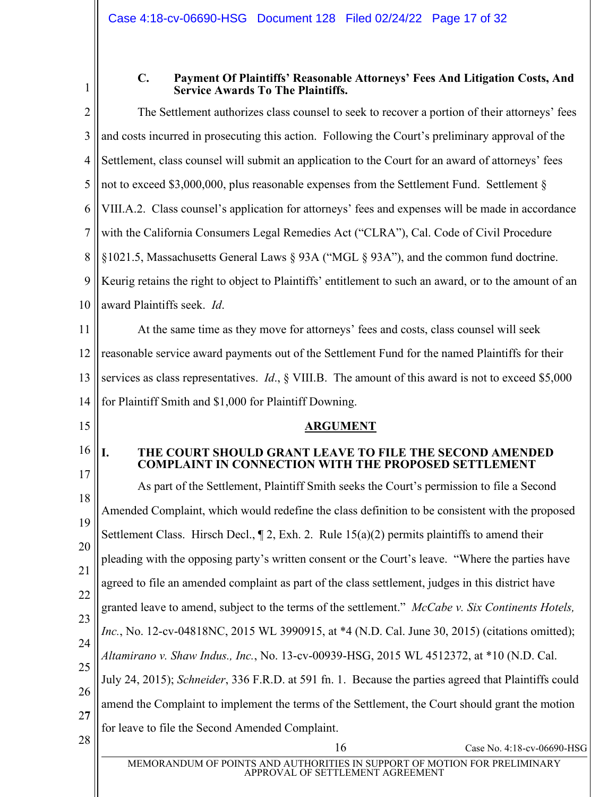<span id="page-16-0"></span>

| ш |  |
|---|--|
|   |  |
|   |  |

#### **C. Payment Of Plaintiffs¶ Reasonable Attorneys¶ Fees And Litigation Costs, And Service Awards To The Plaintiffs.**

<span id="page-16-2"></span><span id="page-16-1"></span>

| $\overline{2}$ | The Settlement authorizes class counsel to seek to recover a portion of their attorneys' fees                  |  |  |
|----------------|----------------------------------------------------------------------------------------------------------------|--|--|
| 3              | and costs incurred in prosecuting this action. Following the Court's preliminary approval of the               |  |  |
| $\overline{4}$ | Settlement, class counsel will submit an application to the Court for an award of attorneys' fees              |  |  |
| 5              | not to exceed \$3,000,000, plus reasonable expenses from the Settlement Fund. Settlement §                     |  |  |
| 6              | VIII.A.2. Class counsel's application for attorneys' fees and expenses will be made in accordance              |  |  |
| 7              | with the California Consumers Legal Remedies Act ("CLRA"), Cal. Code of Civil Procedure                        |  |  |
| 8              | §1021.5, Massachusetts General Laws § 93A ("MGL § 93A"), and the common fund doctrine.                         |  |  |
| 9              | Keurig retains the right to object to Plaintiffs' entitlement to such an award, or to the amount of an         |  |  |
| 10             | award Plaintiffs seek. Id.                                                                                     |  |  |
| 11             | At the same time as they move for attorneys' fees and costs, class counsel will seek                           |  |  |
| 12             | reasonable service award payments out of the Settlement Fund for the named Plaintiffs for their                |  |  |
| 13             | services as class representatives. <i>Id.</i> , $\S$ VIII.B. The amount of this award is not to exceed \$5,000 |  |  |
| 14             | for Plaintiff Smith and \$1,000 for Plaintiff Downing.                                                         |  |  |
| 15             | <b>ARGUMENT</b>                                                                                                |  |  |
| 16             | I.<br>THE COURT SHOULD GRANT LEAVE TO FILE THE SECOND AMENDED                                                  |  |  |
|                | <b>COMPLAINT IN CONNECTION WITH THE PROPOSED SETTLEMENT</b>                                                    |  |  |
| 17             | As part of the Settlement, Plaintiff Smith seeks the Court's permission to file a Second                       |  |  |
| 18             | Amended Complaint, which would redefine the class definition to be consistent with the proposed                |  |  |
| 19             | Settlement Class. Hirsch Decl., $\P$ 2, Exh. 2. Rule 15(a)(2) permits plaintiffs to amend their                |  |  |
| 20             | pleading with the opposing party's written consent or the Court's leave. "Where the parties have               |  |  |
| 21             | agreed to file an amended complaint as part of the class settlement, judges in this district have              |  |  |
| 22             | granted leave to amend, subject to the terms of the settlement." McCabe v. Six Continents Hotels,              |  |  |
| 23             | Inc., No. 12-cv-04818NC, 2015 WL 3990915, at *4 (N.D. Cal. June 30, 2015) (citations omitted);                 |  |  |
| 24             | Altamirano v. Shaw Indus., Inc., No. 13-cv-00939-HSG, 2015 WL 4512372, at *10 (N.D. Cal.                       |  |  |
| 25             | July 24, 2015); Schneider, 336 F.R.D. at 591 fn. 1. Because the parties agreed that Plaintiffs could           |  |  |
| 26             | amend the Complaint to implement the terms of the Settlement, the Court should grant the motion                |  |  |
| 27<br>28       | for leave to file the Second Amended Complaint.                                                                |  |  |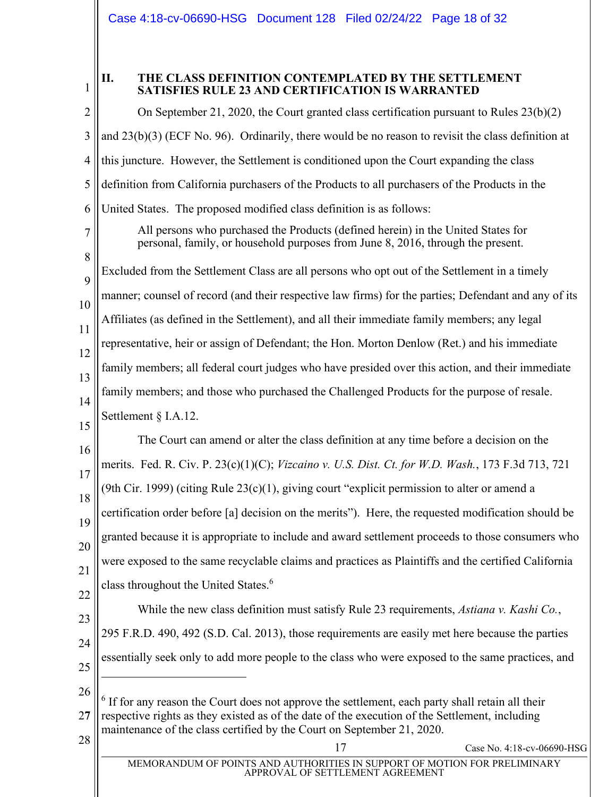1

# <span id="page-17-0"></span>**II. THE CLASS DEFINITION CONTEMPLATED BY THE SETTLEMENT SATISFIES RULE 23 AND CERTIFICATION IS WARRANTED**

2 3 4 5 6 7 8 9 10 11 12 13 14 15 16 17 18 19 20 21 22 23 24 25 26 2**7**  $28 \parallel$  Case No. 4:18-cv-06690-HSG MEMORANDUM OF POINTS AND AUTHORITIES IN SUPPORT OF MOTION FOR PRELIMINARY APPROVAL OF SETTLEMENT AGREEMENT On September 21, 2020, the Court granted class certification pursuant to Rules 23(b)(2) and 23(b)(3) (ECF No. 96). Ordinarily, there would be no reason to revisit the class definition at this juncture. However, the Settlement is conditioned upon the Court expanding the class definition from California purchasers of the Products to all purchasers of the Products in the United States. The proposed modified class definition is as follows: All persons who purchased the Products (defined herein) in the United States for personal, family, or household purposes from June 8, 2016, through the present. Excluded from the Settlement Class are all persons who opt out of the Settlement in a timely manner; counsel of record (and their respective law firms) for the parties; Defendant and any of its Affiliates (as defined in the Settlement), and all their immediate family members; any legal representative, heir or assign of Defendant; the Hon. Morton Denlow (Ret.) and his immediate family members; all federal court judges who have presided over this action, and their immediate family members; and those who purchased the Challenged Products for the purpose of resale. Settlement § I.A.12. The Court can amend or alter the class definition at any time before a decision on the merits. Fed. R. Civ. P. 23(c)(1)(C); *Vizcaino v. U.S. Dist. Ct. for W.D. Wash.*, 173 F.3d 713, 721 (9th Cir. 1999) (citing Rule  $23(c)(1)$ , giving court "explicit permission to alter or amend a certification order before [a] decision on the merits´). Here, the requested modification should be granted because it is appropriate to include and award settlement proceeds to those consumers who were exposed to the same recyclable claims and practices as Plaintiffs and the certified California class throughout the United States.<sup>6</sup> While the new class definition must satisfy Rule 23 requirements, *Astiana v. Kashi Co.*, 295 F.R.D. 490, 492 (S.D. Cal. 2013), those requirements are easily met here because the parties essentially seek only to add more people to the class who were exposed to the same practices, and <sup>6</sup> If for any reason the Court does not approve the settlement, each party shall retain all their respective rights as they existed as of the date of the execution of the Settlement, including maintenance of the class certified by the Court on September 21, 2020.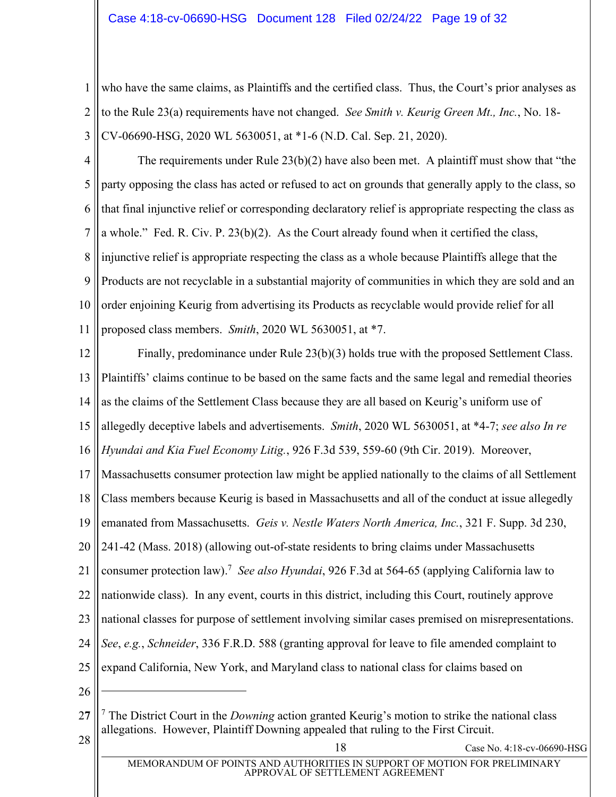1 2 3 who have the same claims, as Plaintiffs and the certified class. Thus, the Court's prior analyses as to the Rule 23(a) requirements have not changed. *See Smith v. Keurig Green Mt., Inc.*, No. 18- CV-06690-HSG, 2020 WL 5630051, at \*1-6 (N.D. Cal. Sep. 21, 2020).

4 5 6 7 8 9 10 11 The requirements under Rule  $23(b)(2)$  have also been met. A plaintiff must show that "the party opposing the class has acted or refused to act on grounds that generally apply to the class, so that final injunctive relief or corresponding declaratory relief is appropriate respecting the class as a whole." Fed. R. Civ. P.  $23(b)(2)$ . As the Court already found when it certified the class, injunctive relief is appropriate respecting the class as a whole because Plaintiffs allege that the Products are not recyclable in a substantial majority of communities in which they are sold and an order enjoining Keurig from advertising its Products as recyclable would provide relief for all proposed class members. *Smith*, 2020 WL 5630051, at \*7.

12 13 14 15 16 17 18 19 20 21 22 23 24 25 26 Finally, predominance under Rule 23(b)(3) holds true with the proposed Settlement Class. Plaintiffs' claims continue to be based on the same facts and the same legal and remedial theories as the claims of the Settlement Class because they are all based on Keurig's uniform use of allegedly deceptive labels and advertisements. *Smith*, 2020 WL 5630051, at \*4-7; *see also In re Hyundai and Kia Fuel Economy Litig.*, 926 F.3d 539, 559-60 (9th Cir. 2019). Moreover, Massachusetts consumer protection law might be applied nationally to the claims of all Settlement Class members because Keurig is based in Massachusetts and all of the conduct at issue allegedly emanated from Massachusetts. *Geis v. Nestle Waters North America, Inc.*, 321 F. Supp. 3d 230, 241-42 (Mass. 2018) (allowing out-of-state residents to bring claims under Massachusetts consumer protection law). <sup>7</sup> *See also Hyundai*, 926 F.3d at 564-65 (applying California law to nationwide class). In any event, courts in this district, including this Court, routinely approve national classes for purpose of settlement involving similar cases premised on misrepresentations. *See*, *e.g.*, *Schneider*, 336 F.R.D. 588 (granting approval for leave to file amended complaint to expand California, New York, and Maryland class to national class for claims based on

<sup>2</sup>**7** <sup>28</sup> <sup>18</sup> Case No. 4:18-cv-06690-HSG <sup>7</sup> The District Court in the *Downing* action granted Keurig's motion to strike the national class allegations. However, Plaintiff Downing appealed that ruling to the First Circuit.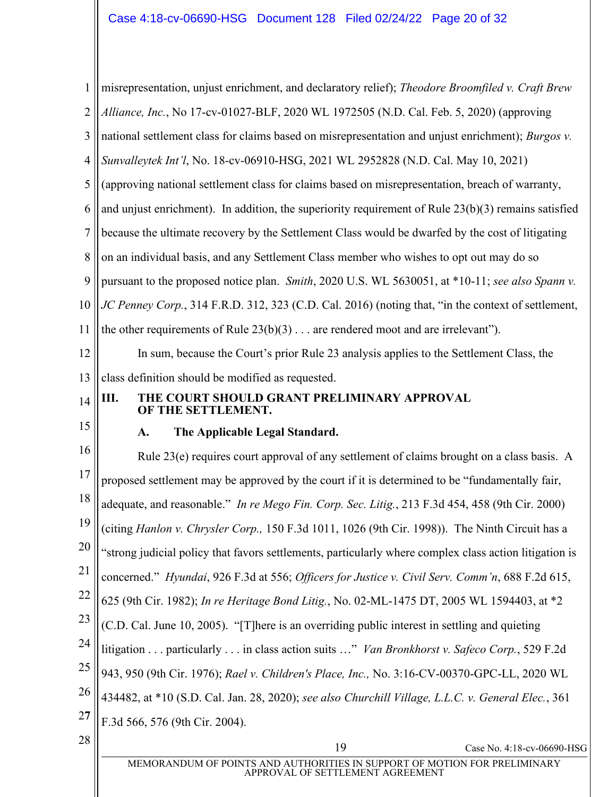<span id="page-19-1"></span><span id="page-19-0"></span>

| $\mathbf{1}$   | misrepresentation, unjust enrichment, and declaratory relief); Theodore Broomfiled v. Craft Brew              |  |  |
|----------------|---------------------------------------------------------------------------------------------------------------|--|--|
| $\overline{2}$ | Alliance, Inc., No 17-cv-01027-BLF, 2020 WL 1972505 (N.D. Cal. Feb. 5, 2020) (approving                       |  |  |
| 3              | national settlement class for claims based on misrepresentation and unjust enrichment); Burgos v.             |  |  |
| $\overline{4}$ | Sunvalleytek Int'l, No. 18-cv-06910-HSG, 2021 WL 2952828 (N.D. Cal. May 10, 2021)                             |  |  |
| 5              | (approving national settlement class for claims based on misrepresentation, breach of warranty,               |  |  |
| 6              | and unjust enrichment). In addition, the superiority requirement of Rule $23(b)(3)$ remains satisfied         |  |  |
| $\tau$         | because the ultimate recovery by the Settlement Class would be dwarfed by the cost of litigating              |  |  |
| 8              | on an individual basis, and any Settlement Class member who wishes to opt out may do so                       |  |  |
| 9              | pursuant to the proposed notice plan. Smith, 2020 U.S. WL 5630051, at *10-11; see also Spann v.               |  |  |
| 10             | JC Penney Corp., 314 F.R.D. 312, 323 (C.D. Cal. 2016) (noting that, "in the context of settlement,            |  |  |
| 11             | the other requirements of Rule $23(b)(3)$ are rendered moot and are irrelevant").                             |  |  |
| 12             | In sum, because the Court's prior Rule 23 analysis applies to the Settlement Class, the                       |  |  |
| 13             | class definition should be modified as requested.                                                             |  |  |
| 14             | THE COURT SHOULD GRANT PRELIMINARY APPROVAL<br>Ш.<br>OF THE SETTLEMENT.                                       |  |  |
| 15             | The Applicable Legal Standard.<br>A.                                                                          |  |  |
| 16             | Rule 23(e) requires court approval of any settlement of claims brought on a class basis. A                    |  |  |
| 17             | proposed settlement may be approved by the court if it is determined to be "fundamentally fair,               |  |  |
| 18             | adequate, and reasonable." In re Mego Fin. Corp. Sec. Litig., 213 F.3d 454, 458 (9th Cir. 2000)               |  |  |
| 19             | (citing Hanlon v. Chrysler Corp., 150 F.3d 1011, 1026 (9th Cir. 1998)). The Ninth Circuit has a               |  |  |
| 20             | "strong judicial policy that favors settlements, particularly where complex class action litigation is        |  |  |
| 21             | concerned." Hyundai, 926 F.3d at 556; Officers for Justice v. Civil Serv. Comm'n, 688 F.2d 615,               |  |  |
| 22             | 625 (9th Cir. 1982); In re Heritage Bond Litig., No. 02-ML-1475 DT, 2005 WL 1594403, at *2                    |  |  |
| 23             | (C.D. Cal. June 10, 2005). "[T] here is an overriding public interest in settling and quieting                |  |  |
| 24             | litigation  particularly  in class action suits " Van Bronkhorst v. Safeco Corp., 529 F.2d                    |  |  |
| 25             | 943, 950 (9th Cir. 1976); Rael v. Children's Place, Inc., No. 3:16-CV-00370-GPC-LL, 2020 WL                   |  |  |
| 26             | 434482, at *10 (S.D. Cal. Jan. 28, 2020); see also Churchill Village, L.L.C. v. General Elec., 361            |  |  |
| <b>27</b>      | F.3d 566, 576 (9th Cir. 2004).                                                                                |  |  |
| 28             | 19<br>Case No. 4:18-cv-06690-HSG                                                                              |  |  |
|                | MEMORANDUM OF POINTS AND AUTHORITIES IN SUPPORT OF MOTION FOR PRELIMINARY<br>APPROVAL OF SETTLEMENT AGREEMENT |  |  |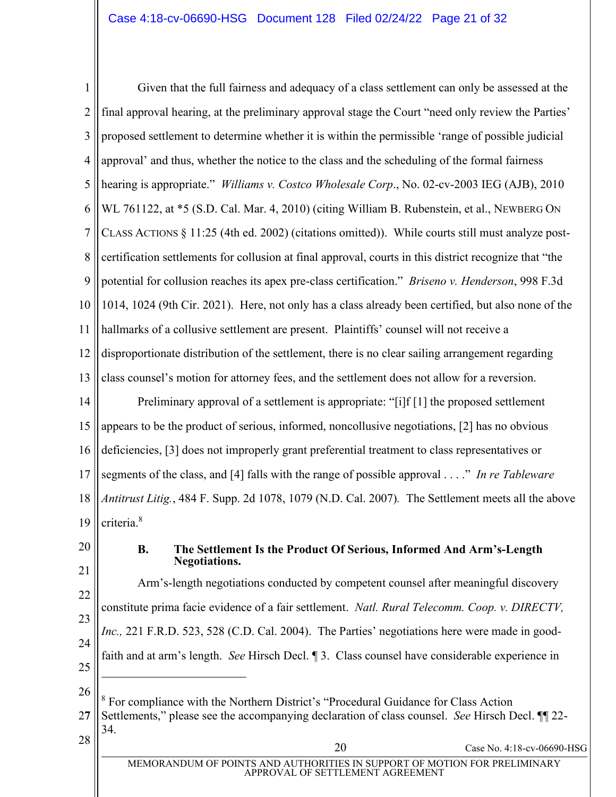1 2 3 4 5 6 7 8 9 10 11 12 13 14 15 16 17 18 19 20 21 Given that the full fairness and adequacy of a class settlement can only be assessed at the final approval hearing, at the preliminary approval stage the Court "need only review the Parties" proposed settlement to determine whether it is within the permissible 'range of possible judicial approval' and thus, whether the notice to the class and the scheduling of the formal fairness hearing is appropriate." *Williams v. Costco Wholesale Corp.*, No. 02-cv-2003 IEG (AJB), 2010 WL 761122, at \*5 (S.D. Cal. Mar. 4, 2010) (citing William B. Rubenstein, et al., NEWBERG ON CLASS ACTIONS § 11:25 (4th ed. 2002) (citations omitted)). While courts still must analyze postcertification settlements for collusion at final approval, courts in this district recognize that "the potential for collusion reaches its apex pre-class certification.´ *Briseno v. Henderson*, 998 F.3d 1014, 1024 (9th Cir. 2021). Here, not only has a class already been certified, but also none of the hallmarks of a collusive settlement are present. Plaintiffs' counsel will not receive a disproportionate distribution of the settlement, there is no clear sailing arrangement regarding class counsel's motion for attorney fees, and the settlement does not allow for a reversion. Preliminary approval of a settlement is appropriate: " $[i]f[i]$  the proposed settlement appears to be the product of serious, informed, noncollusive negotiations, [2] has no obvious deficiencies, [3] does not improperly grant preferential treatment to class representatives or segments of the class, and [4] falls with the range of possible approval . . . . " In re Tableware *Antitrust Litig.*, 484 F. Supp. 2d 1078, 1079 (N.D. Cal. 2007)*.* The Settlement meets all the above criteria.<sup>8</sup> **B. The Settlement Is the Product Of Serious, Informed And Arm¶s-Length Negotiations.**

<span id="page-20-0"></span>22 23 24 25 Arm's-length negotiations conducted by competent counsel after meaningful discovery constitute prima facie evidence of a fair settlement. *Natl. Rural Telecomm. Coop. v. DIRECTV, Inc.,* 221 F.R.D. 523, 528 (C.D. Cal. 2004). The Parties' negotiations here were made in goodfaith and at arm's length. *See* Hirsch Decl. ¶ 3. Class counsel have considerable experience in

26

<sup>8</sup> For compliance with the Northern District's "Procedural Guidance for Class Action

2**7** Settlements,´ please see the accompanying declaration of class counsel. *See* Hirsch Decl. ¶¶ 22- 34.

 $28 \parallel$  20 Case No. 4:18-cv-06690-HSG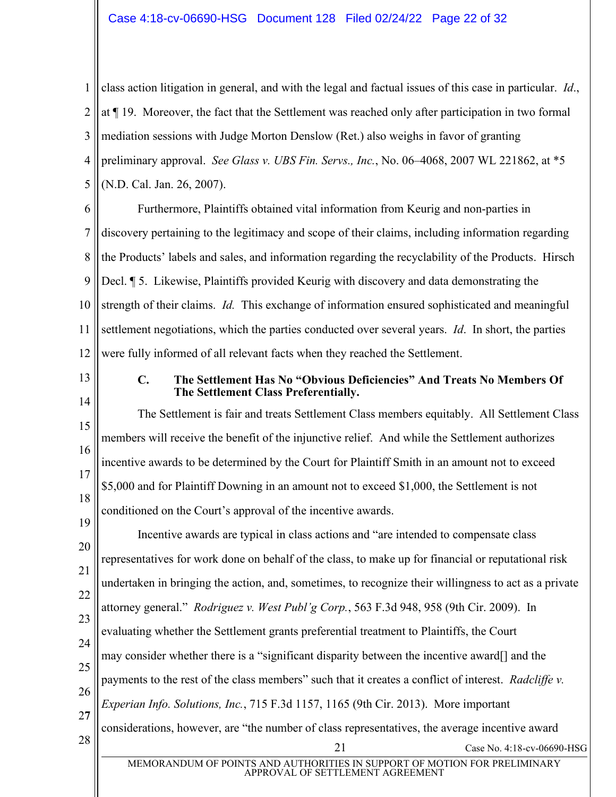1 2 3 4 5 class action litigation in general, and with the legal and factual issues of this case in particular. *Id*., at ¶ 19. Moreover, the fact that the Settlement was reached only after participation in two formal mediation sessions with Judge Morton Denslow (Ret.) also weighs in favor of granting preliminary approval. *See Glass v. UBS Fin. Servs., Inc.*, No. 06–4068, 2007 WL 221862, at \*5 (N.D. Cal. Jan. 26, 2007).

6 7 8 9 10 11 12 Furthermore, Plaintiffs obtained vital information from Keurig and non-parties in discovery pertaining to the legitimacy and scope of their claims, including information regarding the Products' labels and sales, and information regarding the recyclability of the Products. Hirsch Decl. ¶ 5. Likewise, Plaintiffs provided Keurig with discovery and data demonstrating the strength of their claims. *Id.* This exchange of information ensured sophisticated and meaningful settlement negotiations, which the parties conducted over several years. *Id*. In short, the parties were fully informed of all relevant facts when they reached the Settlement.

<span id="page-21-0"></span>13

14

#### **C. The Settlement Has No "Obvious Deficiencies´ And Treats No Members Of The Settlement Class Preferentially.**

15 16 17 18 The Settlement is fair and treats Settlement Class members equitably. All Settlement Class members will receive the benefit of the injunctive relief. And while the Settlement authorizes incentive awards to be determined by the Court for Plaintiff Smith in an amount not to exceed \$5,000 and for Plaintiff Downing in an amount not to exceed \$1,000, the Settlement is not conditioned on the Court's approval of the incentive awards.

19 20 21 22 23 24 25 26 2**7**  $28 \parallel$  Case No. 4:18-cv-06690-HSG Incentive awards are typical in class actions and "are intended to compensate class representatives for work done on behalf of the class, to make up for financial or reputational risk undertaken in bringing the action, and, sometimes, to recognize their willingness to act as a private attorney general.<sup>3</sup> *Rodriguez v. West Publ'g Corp.*, 563 F.3d 948, 958 (9th Cir. 2009). In evaluating whether the Settlement grants preferential treatment to Plaintiffs, the Court may consider whether there is a "significant disparity between the incentive award $[$ ] and the payments to the rest of the class members" such that it creates a conflict of interest. *Radcliffe v. Experian Info. Solutions, Inc.*, 715 F.3d 1157, 1165 (9th Cir. 2013). More important considerations, however, are "the number of class representatives, the average incentive award

MEMORANDUM OF POINTS AND AUTHORITIES IN SUPPORT OF MOTION FOR PRELIMINARY APPROVAL OF SETTLEMENT AGREEMENT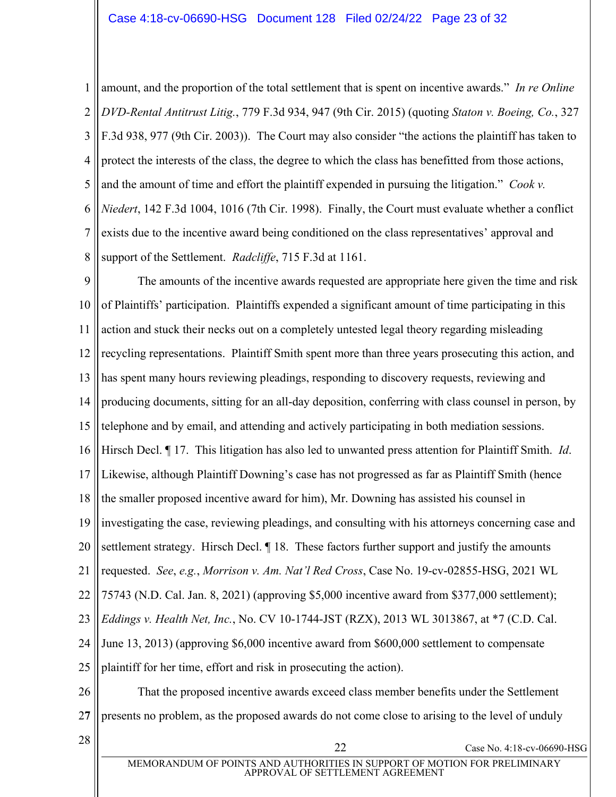1 2 3 4 5 6 7 8 amount, and the proportion of the total settlement that is spent on incentive awards." *In re Online DVD-Rental Antitrust Litig.*, 779 F.3d 934, 947 (9th Cir. 2015) (quoting *Staton v. Boeing, Co.*, 327 F.3d 938, 977 (9th Cir. 2003)). The Court may also consider "the actions the plaintiff has taken to protect the interests of the class, the degree to which the class has benefitted from those actions, and the amount of time and effort the plaintiff expended in pursuing the litigation.<sup>"</sup> *Cook v. Niedert*, 142 F.3d 1004, 1016 (7th Cir. 1998). Finally, the Court must evaluate whether a conflict exists due to the incentive award being conditioned on the class representatives' approval and support of the Settlement. *Radcliffe*, 715 F.3d at 1161.

9 10 11 12 13 14 15 16 17 18 19 20 21 22 23 24 25 26 The amounts of the incentive awards requested are appropriate here given the time and risk of Plaintiffs' participation. Plaintiffs expended a significant amount of time participating in this action and stuck their necks out on a completely untested legal theory regarding misleading recycling representations. Plaintiff Smith spent more than three years prosecuting this action, and has spent many hours reviewing pleadings, responding to discovery requests, reviewing and producing documents, sitting for an all-day deposition, conferring with class counsel in person, by telephone and by email, and attending and actively participating in both mediation sessions. Hirsch Decl. ¶ 17. This litigation has also led to unwanted press attention for Plaintiff Smith. *Id*. Likewise, although Plaintiff Downing's case has not progressed as far as Plaintiff Smith (hence the smaller proposed incentive award for him), Mr. Downing has assisted his counsel in investigating the case, reviewing pleadings, and consulting with his attorneys concerning case and settlement strategy. Hirsch Decl. *[18. These factors further support and justify the amounts* requested. *See, e.g., Morrison v. Am. Nat'l Red Cross, Case No.* 19-cv-02855-HSG, 2021 WL 75743 (N.D. Cal. Jan. 8, 2021) (approving \$5,000 incentive award from \$377,000 settlement); *Eddings v. Health Net, Inc.*, No. CV 10-1744-JST (RZX), 2013 WL 3013867, at \*7 (C.D. Cal. June 13, 2013) (approving \$6,000 incentive award from \$600,000 settlement to compensate plaintiff for her time, effort and risk in prosecuting the action). That the proposed incentive awards exceed class member benefits under the Settlement

2**7**

presents no problem, as the proposed awards do not come close to arising to the level of unduly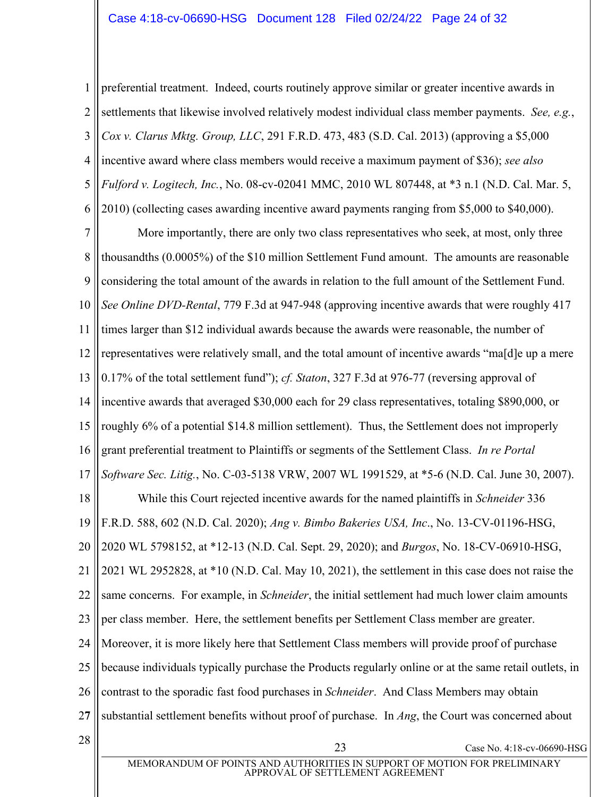1 2 3 4 5 6 preferential treatment. Indeed, courts routinely approve similar or greater incentive awards in settlements that likewise involved relatively modest individual class member payments. *See, e.g.*, *Cox v. Clarus Mktg. Group, LLC*, 291 F.R.D. 473, 483 (S.D. Cal. 2013) (approving a \$5,000 incentive award where class members would receive a maximum payment of \$36); *see also Fulford v. Logitech, Inc.*, No. 08-cv-02041 MMC, 2010 WL 807448, at \*3 n.1 (N.D. Cal. Mar. 5, 2010) (collecting cases awarding incentive award payments ranging from \$5,000 to \$40,000).

7 8 9 10 11 12 13 14 15 16 17 18 19 20 21 22 23 24 25 26 2**7**  $28 \parallel$  Case No. 4:18-cv-06690-HSG More importantly, there are only two class representatives who seek, at most, only three thousandths (0.0005%) of the \$10 million Settlement Fund amount. The amounts are reasonable considering the total amount of the awards in relation to the full amount of the Settlement Fund. *See Online DVD-Rental*, 779 F.3d at 947-948 (approving incentive awards that were roughly 417 times larger than \$12 individual awards because the awards were reasonable, the number of representatives were relatively small, and the total amount of incentive awards "ma[d]e up a mere 0.17% of the total settlement fund´); *cf. Staton*, 327 F.3d at 976-77 (reversing approval of incentive awards that averaged \$30,000 each for 29 class representatives, totaling \$890,000, or roughly 6% of a potential \$14.8 million settlement). Thus, the Settlement does not improperly grant preferential treatment to Plaintiffs or segments of the Settlement Class. *In re Portal Software Sec. Litig.*, No. C-03-5138 VRW, 2007 WL 1991529, at \*5-6 (N.D. Cal. June 30, 2007). While this Court rejected incentive awards for the named plaintiffs in *Schneider* 336 F.R.D. 588, 602 (N.D. Cal. 2020); *Ang v. Bimbo Bakeries USA, Inc*., No. 13-CV-01196-HSG, 2020 WL 5798152, at \*12-13 (N.D. Cal. Sept. 29, 2020); and *Burgos*, No. 18-CV-06910-HSG, 2021 WL 2952828, at \*10 (N.D. Cal. May 10, 2021), the settlement in this case does not raise the same concerns. For example, in *Schneider*, the initial settlement had much lower claim amounts per class member. Here, the settlement benefits per Settlement Class member are greater. Moreover, it is more likely here that Settlement Class members will provide proof of purchase because individuals typically purchase the Products regularly online or at the same retail outlets, in contrast to the sporadic fast food purchases in *Schneider*. And Class Members may obtain substantial settlement benefits without proof of purchase. In *Ang*, the Court was concerned about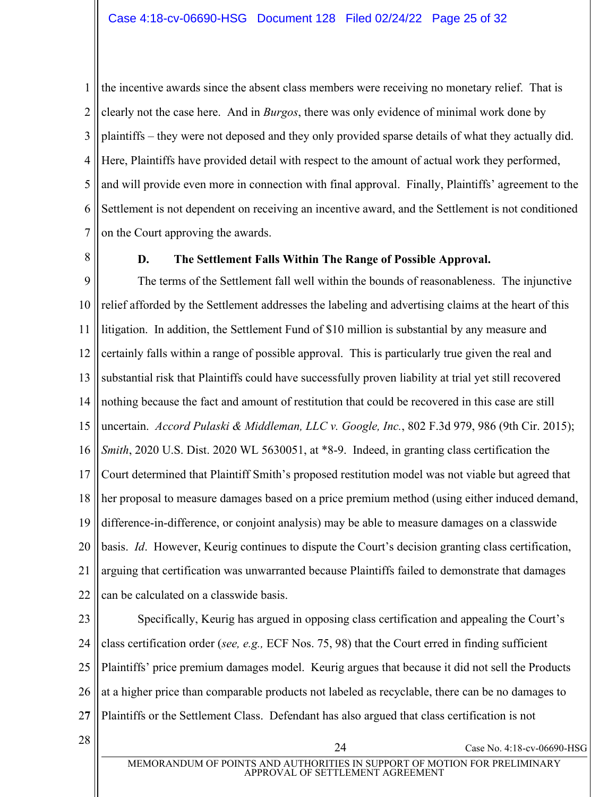1 2 3 4 5 6 7 the incentive awards since the absent class members were receiving no monetary relief. That is clearly not the case here. And in *Burgos*, there was only evidence of minimal work done by plaintiffs – they were not deposed and they only provided sparse details of what they actually did. Here, Plaintiffs have provided detail with respect to the amount of actual work they performed, and will provide even more in connection with final approval. Finally, Plaintiffs' agreement to the Settlement is not dependent on receiving an incentive award, and the Settlement is not conditioned on the Court approving the awards.

<span id="page-24-0"></span>8

# **D. The Settlement Falls Within The Range of Possible Approval.**

9 10 11 12 13 14 15 16 17 18 19 20 21 22 The terms of the Settlement fall well within the bounds of reasonableness. The injunctive relief afforded by the Settlement addresses the labeling and advertising claims at the heart of this litigation. In addition, the Settlement Fund of \$10 million is substantial by any measure and certainly falls within a range of possible approval. This is particularly true given the real and substantial risk that Plaintiffs could have successfully proven liability at trial yet still recovered nothing because the fact and amount of restitution that could be recovered in this case are still uncertain. *Accord Pulaski & Middleman, LLC v. Google, Inc.*, 802 F.3d 979, 986 (9th Cir. 2015); *Smith*, 2020 U.S. Dist. 2020 WL 5630051, at  $*8-9$ . Indeed, in granting class certification the Court determined that Plaintiff Smith's proposed restitution model was not viable but agreed that her proposal to measure damages based on a price premium method (using either induced demand, difference-in-difference, or conjoint analysis) may be able to measure damages on a classwide basis. *Id.* However, Keurig continues to dispute the Court's decision granting class certification, arguing that certification was unwarranted because Plaintiffs failed to demonstrate that damages can be calculated on a classwide basis.

23 24 25 26 2**7** Specifically, Keurig has argued in opposing class certification and appealing the Court's class certification order (*see, e.g.,* ECF Nos. 75, 98) that the Court erred in finding sufficient Plaintiffs' price premium damages model. Keurig argues that because it did not sell the Products at a higher price than comparable products not labeled as recyclable, there can be no damages to Plaintiffs or the Settlement Class. Defendant has also argued that class certification is not

 $28 \parallel$  Case No. 4:18-cv-06690-HSG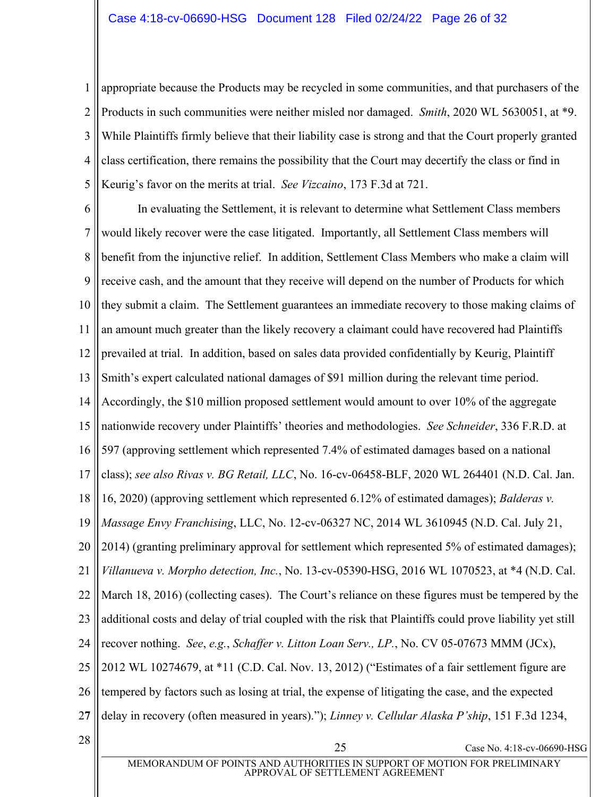1 2 3 4 5 appropriate because the Products may be recycled in some communities, and that purchasers of the Products in such communities were neither misled nor damaged. *Smith*, 2020 WL 5630051, at \*9. While Plaintiffs firmly believe that their liability case is strong and that the Court properly granted class certification, there remains the possibility that the Court may decertify the class or find in Keurig's favor on the merits at trial. *See Vizcaino*, 173 F.3d at 721.

6 7 8 9 10 11 12 13 14 15 16 17 18 19 20 21 22 23 24 25 26 2**7**  $28 \parallel$  Case No. 4:18-cv-06690-HSG In evaluating the Settlement, it is relevant to determine what Settlement Class members would likely recover were the case litigated. Importantly, all Settlement Class members will benefit from the injunctive relief. In addition, Settlement Class Members who make a claim will receive cash, and the amount that they receive will depend on the number of Products for which they submit a claim. The Settlement guarantees an immediate recovery to those making claims of an amount much greater than the likely recovery a claimant could have recovered had Plaintiffs prevailed at trial. In addition, based on sales data provided confidentially by Keurig, Plaintiff Smith's expert calculated national damages of \$91 million during the relevant time period. Accordingly, the \$10 million proposed settlement would amount to over 10% of the aggregate nationwide recovery under Plaintiffs' theories and methodologies. *See Schneider*, 336 F.R.D. at 597 (approving settlement which represented 7.4% of estimated damages based on a national class); *see also Rivas v. BG Retail, LLC*, No. 16-cv-06458-BLF, 2020 WL 264401 (N.D. Cal. Jan. 16, 2020) (approving settlement which represented 6.12% of estimated damages); *Balderas v. Massage Envy Franchising*, LLC, No. 12-cv-06327 NC, 2014 WL 3610945 (N.D. Cal. July 21, 2014) (granting preliminary approval for settlement which represented 5% of estimated damages); *Villanueva v. Morpho detection, Inc.*, No. 13-cv-05390-HSG, 2016 WL 1070523, at \*4 (N.D. Cal. March 18, 2016) (collecting cases). The Court's reliance on these figures must be tempered by the additional costs and delay of trial coupled with the risk that Plaintiffs could prove liability yet still recover nothing. *See*, *e.g.*, *Schaffer v. Litton Loan Serv., LP.*, No. CV 05-07673 MMM (JCx), 2012 WL 10274679, at  $*11$  (C.D. Cal. Nov. 13, 2012) ("Estimates of a fair settlement figure are tempered by factors such as losing at trial, the expense of litigating the case, and the expected delay in recovery (often measured in years).''); *Linney v. Cellular Alaska P'ship*, 151 F.3d 1234,

MEMORANDUM OF POINTS AND AUTHORITIES IN SUPPORT OF MOTION FOR PRELIMINARY APPROVAL OF SETTLEMENT AGREEMENT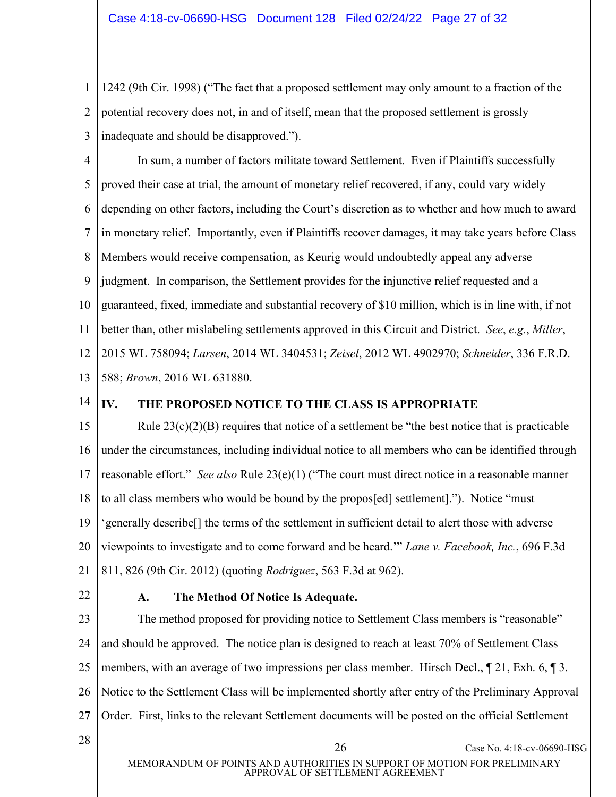1 2 3 1242 (9th Cir. 1998) ("The fact that a proposed settlement may only amount to a fraction of the potential recovery does not, in and of itself, mean that the proposed settlement is grossly inadequate and should be disapproved.").

4 5 6 7 8 9 10 11 12 13 In sum, a number of factors militate toward Settlement. Even if Plaintiffs successfully proved their case at trial, the amount of monetary relief recovered, if any, could vary widely depending on other factors, including the Court's discretion as to whether and how much to award in monetary relief. Importantly, even if Plaintiffs recover damages, it may take years before Class Members would receive compensation, as Keurig would undoubtedly appeal any adverse judgment. In comparison, the Settlement provides for the injunctive relief requested and a guaranteed, fixed, immediate and substantial recovery of \$10 million, which is in line with, if not better than, other mislabeling settlements approved in this Circuit and District. *See*, *e.g.*, *Miller*, 2015 WL 758094; *Larsen*, 2014 WL 3404531; *Zeisel*, 2012 WL 4902970; *Schneider*, 336 F.R.D. 588; *Brown*, 2016 WL 631880.

14

# <span id="page-26-0"></span>**IV. THE PROPOSED NOTICE TO THE CLASS IS APPROPRIATE**

15 16 17 18 19 20 21 Rule  $23(c)(2)(B)$  requires that notice of a settlement be "the best notice that is practicable under the circumstances, including individual notice to all members who can be identified through reasonable effort." *See also* Rule 23(e)(1) ("The court must direct notice in a reasonable manner to all class members who would be bound by the propos[ed] settlement]."). Notice "must" 'generally describe<sup>[]</sup> the terms of the settlement in sufficient detail to alert those with adverse viewpoints to investigate and to come forward and be heard." *Lane v. Facebook, Inc.*, 696 F.3d 811, 826 (9th Cir. 2012) (quoting *Rodriguez*, 563 F.3d at 962).

<span id="page-26-1"></span>22

### **A. The Method Of Notice Is Adequate.**

23 24 25 26 2**7** The method proposed for providing notice to Settlement Class members is "reasonable" and should be approved. The notice plan is designed to reach at least 70% of Settlement Class members, with an average of two impressions per class member. Hirsch Decl.,  $\sim$  21, Exh. 6,  $\sim$  3. Notice to the Settlement Class will be implemented shortly after entry of the Preliminary Approval Order. First, links to the relevant Settlement documents will be posted on the official Settlement

MEMORANDUM OF POINTS AND AUTHORITIES IN SUPPORT OF MOTION FOR PRELIMINARY APPROVAL OF SETTLEMENT AGREEMENT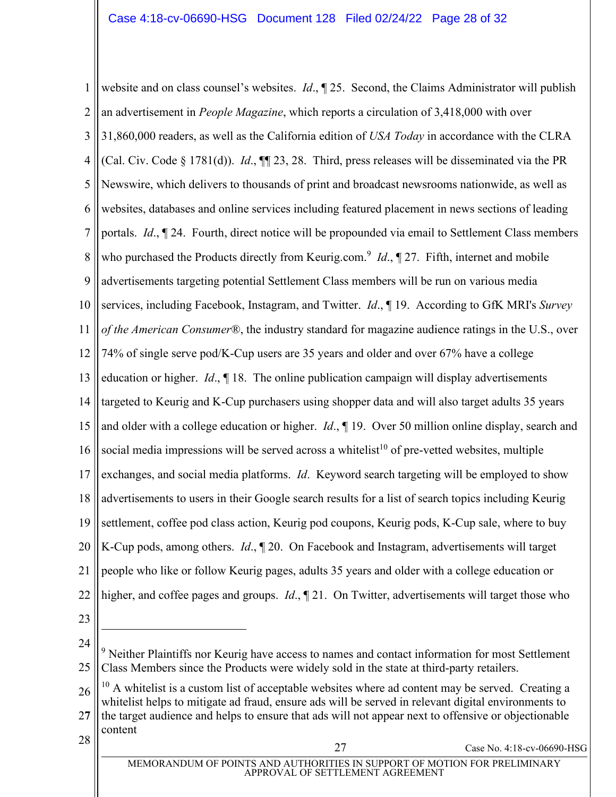1 2 3 4 5 6 7 8 9 10 11 12 13 14 15 16 17 18 19 20 21 22 23 website and on class counsel's websites. *Id.*,  $\mathbb{I}$  25. Second, the Claims Administrator will publish an advertisement in *People Magazine*, which reports a circulation of 3,418,000 with over 31,860,000 readers, as well as the California edition of *USA Today* in accordance with the CLRA (Cal. Civ. Code § 1781(d)). *Id*., ¶¶ 23, 28. Third, press releases will be disseminated via the PR Newswire, which delivers to thousands of print and broadcast newsrooms nationwide, as well as websites, databases and online services including featured placement in news sections of leading portals. *Id*., ¶ 24. Fourth, direct notice will be propounded via email to Settlement Class members who purchased the Products directly from Keurig.com.<sup>9</sup> *Id.*, 127. Fifth, internet and mobile advertisements targeting potential Settlement Class members will be run on various media services, including Facebook, Instagram, and Twitter. *Id*., ¶ 19. According to GfK MRI's *Survey of the American Consumer*®, the industry standard for magazine audience ratings in the U.S., over 74% of single serve pod/K-Cup users are 35 years and older and over 67% have a college education or higher. *Id*., ¶ 18. The online publication campaign will display advertisements targeted to Keurig and K-Cup purchasers using shopper data and will also target adults 35 years and older with a college education or higher. *Id*., ¶ 19. Over 50 million online display, search and social media impressions will be served across a whitelist<sup>10</sup> of pre-vetted websites, multiple exchanges, and social media platforms. *Id*. Keyword search targeting will be employed to show advertisements to users in their Google search results for a list of search topics including Keurig settlement, coffee pod class action, Keurig pod coupons, Keurig pods, K-Cup sale, where to buy K-Cup pods, among others. *Id*., ¶ 20. On Facebook and Instagram, advertisements will target people who like or follow Keurig pages, adults 35 years and older with a college education or higher, and coffee pages and groups. *Id*., ¶ 21. On Twitter, advertisements will target those who

24

26 2**7**  $10$  A whitelist is a custom list of acceptable websites where ad content may be served. Creating a whitelist helps to mitigate ad fraud, ensure ads will be served in relevant digital environments to the target audience and helps to ensure that ads will not appear next to offensive or objectionable content

 $28 \parallel$  Case No. 4:18-cv-06690-HSG

<sup>25</sup> <sup>9</sup> Neither Plaintiffs nor Keurig have access to names and contact information for most Settlement Class Members since the Products were widely sold in the state at third-party retailers.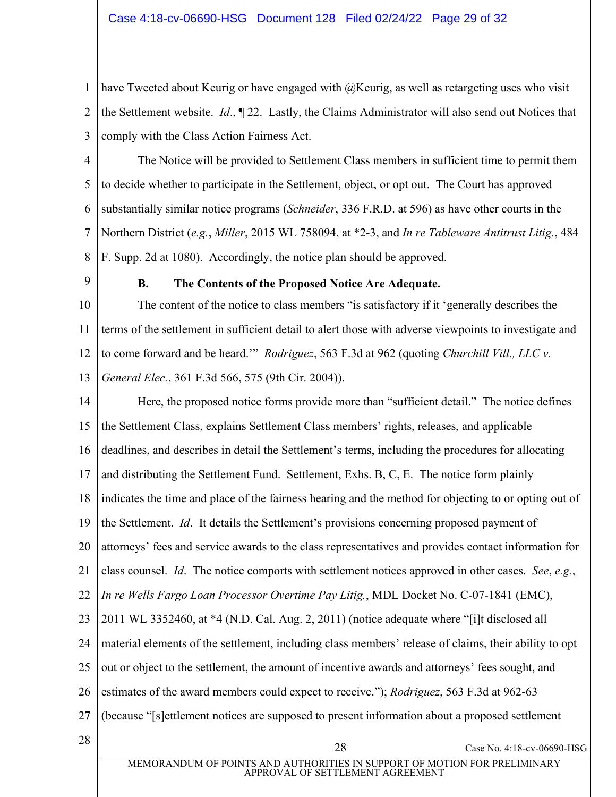1 2 3 have Tweeted about Keurig or have engaged with @Keurig, as well as retargeting uses who visit the Settlement website. *Id*., ¶ 22. Lastly, the Claims Administrator will also send out Notices that comply with the Class Action Fairness Act.

4 5 6 7 8 The Notice will be provided to Settlement Class members in sufficient time to permit them to decide whether to participate in the Settlement, object, or opt out. The Court has approved substantially similar notice programs (*Schneider*, 336 F.R.D. at 596) as have other courts in the Northern District (*e.g.*, *Miller*, 2015 WL 758094, at \*2-3, and *In re Tableware Antitrust Litig.*, 484 F. Supp. 2d at 1080). Accordingly, the notice plan should be approved.

<span id="page-28-0"></span>9

# **B. The Contents of the Proposed Notice Are Adequate.**

10 11 12 13 The content of the notice to class members "is satisfactory if it 'generally describes the terms of the settlement in sufficient detail to alert those with adverse viewpoints to investigate and to come forward and be heard." *Rodriguez*, 563 F.3d at 962 (quoting *Churchill Vill., LLC v. General Elec.*, 361 F.3d 566, 575 (9th Cir. 2004)).

14 15 16 17 18 19 20 21 22 23 24 25 26 2**7**  $28$  Case No. 4:18-cv-06690-HSG Here, the proposed notice forms provide more than "sufficient detail." The notice defines the Settlement Class, explains Settlement Class members' rights, releases, and applicable deadlines, and describes in detail the Settlement's terms, including the procedures for allocating and distributing the Settlement Fund. Settlement, Exhs. B, C, E. The notice form plainly indicates the time and place of the fairness hearing and the method for objecting to or opting out of the Settlement. *Id*. It details the Settlement's provisions concerning proposed payment of attorneys' fees and service awards to the class representatives and provides contact information for class counsel. *Id*. The notice comports with settlement notices approved in other cases. *See*, *e.g.*, *In re Wells Fargo Loan Processor Overtime Pay Litig.*, MDL Docket No. C-07-1841 (EMC),  $2011$  WL 3352460, at  $*4$  (N.D. Cal. Aug. 2, 2011) (notice adequate where "[i]t disclosed all material elements of the settlement, including class members' release of claims, their ability to opt out or object to the settlement, the amount of incentive awards and attorneys' fees sought, and estimates of the award members could expect to receive."); *Rodriguez*, 563 F.3d at 962-63 (because "[s]ettlement notices are supposed to present information about a proposed settlement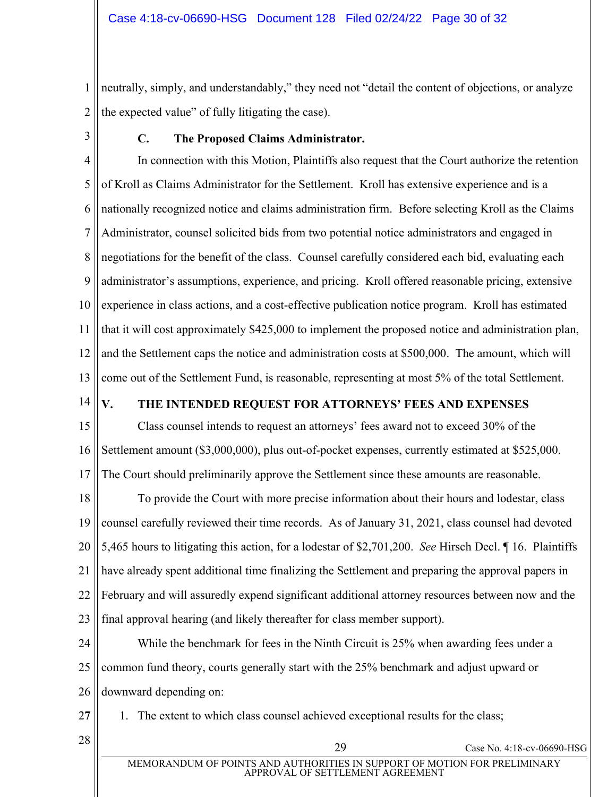1 2 neutrally, simply, and understandably," they need not "detail the content of objections, or analyze the expected value" of fully litigating the case).

<span id="page-29-0"></span>3

# **C. The Proposed Claims Administrator.**

4 5 6 7 8 9 10 11 12 13 In connection with this Motion, Plaintiffs also request that the Court authorize the retention of Kroll as Claims Administrator for the Settlement. Kroll has extensive experience and is a nationally recognized notice and claims administration firm. Before selecting Kroll as the Claims Administrator, counsel solicited bids from two potential notice administrators and engaged in negotiations for the benefit of the class. Counsel carefully considered each bid, evaluating each administrator's assumptions, experience, and pricing. Kroll offered reasonable pricing, extensive experience in class actions, and a cost-effective publication notice program. Kroll has estimated that it will cost approximately \$425,000 to implement the proposed notice and administration plan, and the Settlement caps the notice and administration costs at \$500,000. The amount, which will come out of the Settlement Fund, is reasonable, representing at most 5% of the total Settlement.

14

# <span id="page-29-1"></span>V. THE INTENDED REQUEST FOR ATTORNEYS' FEES AND EXPENSES

15 16 17 Class counsel intends to request an attorneys' fees award not to exceed 30% of the Settlement amount (\$3,000,000), plus out-of-pocket expenses, currently estimated at \$525,000. The Court should preliminarily approve the Settlement since these amounts are reasonable.

18 19 20 21 22 23 To provide the Court with more precise information about their hours and lodestar, class counsel carefully reviewed their time records. As of January 31, 2021, class counsel had devoted 5,465 hours to litigating this action, for a lodestar of \$2,701,200. *See* Hirsch Decl. ¶ 16. Plaintiffs have already spent additional time finalizing the Settlement and preparing the approval papers in February and will assuredly expend significant additional attorney resources between now and the final approval hearing (and likely thereafter for class member support).

24 25 26 While the benchmark for fees in the Ninth Circuit is 25% when awarding fees under a common fund theory, courts generally start with the 25% benchmark and adjust upward or downward depending on:

2**7**

1. The extent to which class counsel achieved exceptional results for the class;

 $28 \parallel$  29 Case No. 4:18-cv-06690-HSG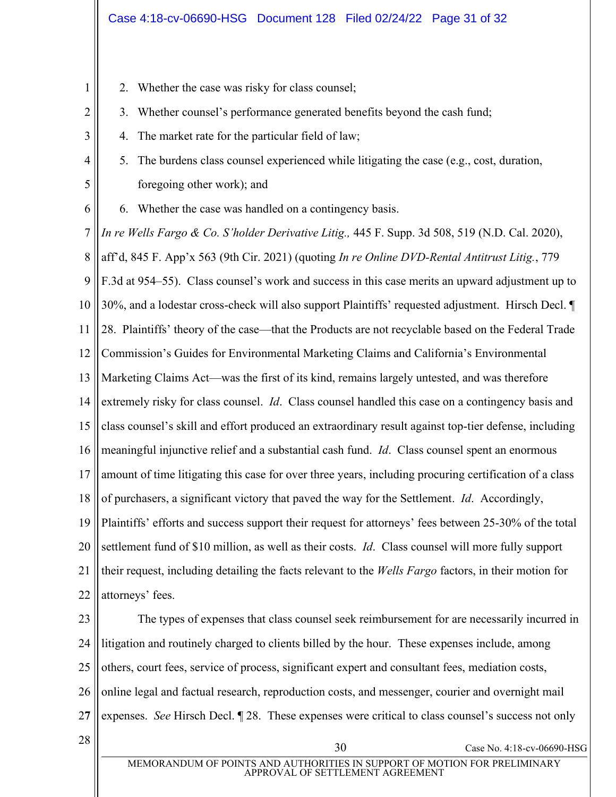- 2. Whether the case was risky for class counsel;
- 3. Whether counsel's performance generated benefits beyond the cash fund;
	- 4. The market rate for the particular field of law;
- 5. The burdens class counsel experienced while litigating the case (e.g., cost, duration, foregoing other work); and
- 6. Whether the case was handled on a contingency basis.

7 8 9 10 11 12 13 14 15 16 17 18 19 20 21 22 *In re Wells Fargo & Co. S'holder Derivative Litig.,* 445 F. Supp. 3d 508, 519 (N.D. Cal. 2020), aff'd, 845 F. App'x 563 (9th Cir. 2021) (quoting *In re Online DVD-Rental Antitrust Litig.*, 779 F.3d at 954–55). Class counsel's work and success in this case merits an upward adjustment up to 30%, and a lodestar cross-check will also support Plaintiffs' requested adjustment. Hirsch Decl.  $\P$ 28. Plaintiffs' theory of the case—that the Products are not recyclable based on the Federal Trade Commission's Guides for Environmental Marketing Claims and California's Environmental Marketing Claims Act—was the first of its kind, remains largely untested, and was therefore extremely risky for class counsel. *Id*. Class counsel handled this case on a contingency basis and class counsel's skill and effort produced an extraordinary result against top-tier defense, including meaningful injunctive relief and a substantial cash fund. *Id*. Class counsel spent an enormous amount of time litigating this case for over three years, including procuring certification of a class of purchasers, a significant victory that paved the way for the Settlement. *Id*. Accordingly, Plaintiffs' efforts and success support their request for attorneys' fees between 25-30% of the total settlement fund of \$10 million, as well as their costs. *Id*. Class counsel will more fully support their request, including detailing the facts relevant to the *Wells Fargo* factors, in their motion for attorneys' fees.

23 24 25 26 2**7** The types of expenses that class counsel seek reimbursement for are necessarily incurred in litigation and routinely charged to clients billed by the hour. These expenses include, among others, court fees, service of process, significant expert and consultant fees, mediation costs, online legal and factual research, reproduction costs, and messenger, courier and overnight mail expenses. *See* Hirsch Decl. ¶ 28. These expenses were critical to class counsel's success not only

1

2

3

4

5

6